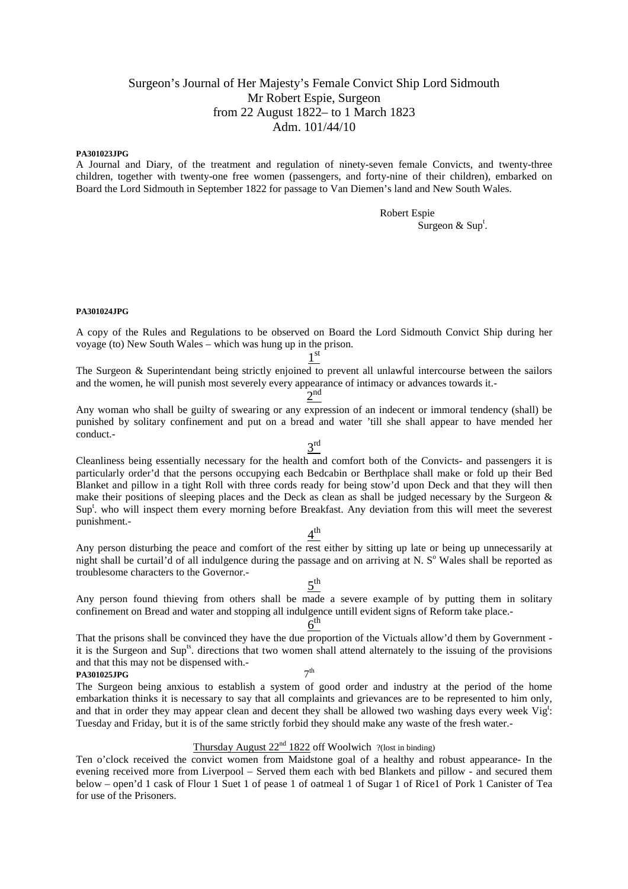## Surgeon's Journal of Her Majesty's Female Convict Ship Lord Sidmouth Mr Robert Espie, Surgeon from 22 August 1822– to 1 March 1823 Adm. 101/44/10

#### **PA301023JPG**

A Journal and Diary, of the treatment and regulation of ninety-seven female Convicts, and twenty-three children, together with twenty-one free women (passengers, and forty-nine of their children), embarked on Board the Lord Sidmouth in September 1822 for passage to Van Diemen's land and New South Wales.

Robert Espie

Surgeon & Sup<sup>t</sup> .

#### **PA301024JPG**

A copy of the Rules and Regulations to be observed on Board the Lord Sidmouth Convict Ship during her voyage (to) New South Wales – which was hung up in the prison.

1 st

The Surgeon & Superintendant being strictly enjoined to prevent all unlawful intercourse between the sailors and the women, he will punish most severely every appearance of intimacy or advances towards it.-

 $2<sup>nd</sup>$ Any woman who shall be guilty of swearing or any expression of an indecent or immoral tendency (shall) be punished by solitary confinement and put on a bread and water 'till she shall appear to have mended her conduct.-

 $3<sup>rd</sup>$ Cleanliness being essentially necessary for the health and comfort both of the Convicts- and passengers it is particularly order'd that the persons occupying each Bedcabin or Berthplace shall make or fold up their Bed Blanket and pillow in a tight Roll with three cords ready for being stow'd upon Deck and that they will then make their positions of sleeping places and the Deck as clean as shall be judged necessary by the Surgeon  $\&$ Sup<sup>t</sup>. who will inspect them every morning before Breakfast. Any deviation from this will meet the severest punishment.-

# $4^{\text{th}}$

Any person disturbing the peace and comfort of the rest either by sitting up late or being up unnecessarily at night shall be curtail'd of all indulgence during the passage and on arriving at N. S° Wales shall be reported as troublesome characters to the Governor.-

# $5^{\text{th}}$

Any person found thieving from others shall be made a severe example of by putting them in solitary confinement on Bread and water and stopping all indulgence untill evident signs of Reform take place.-

# $6<sup>th</sup>$

That the prisons shall be convinced they have the due proportion of the Victuals allow'd them by Government it is the Surgeon and Sup<sup>ts</sup>. directions that two women shall attend alternately to the issuing of the provisions and that this may not be dispensed with.-  $7<sup>th</sup>$ 

**PA301025JPG** 7

The Surgeon being anxious to establish a system of good order and industry at the period of the home embarkation thinks it is necessary to say that all complaints and grievances are to be represented to him only, and that in order they may appear clean and decent they shall be allowed two washing days every week  $\text{Vig}^{\text{t}}$ : Tuesday and Friday, but it is of the same strictly forbid they should make any waste of the fresh water.-

## Thursday August  $22<sup>nd</sup> 1822$  off Woolwich ?(lost in binding)

Ten o'clock received the convict women from Maidstone goal of a healthy and robust appearance- In the evening received more from Liverpool – Served them each with bed Blankets and pillow - and secured them below – open'd 1 cask of Flour 1 Suet 1 of pease 1 of oatmeal 1 of Sugar 1 of Rice1 of Pork 1 Canister of Tea for use of the Prisoners.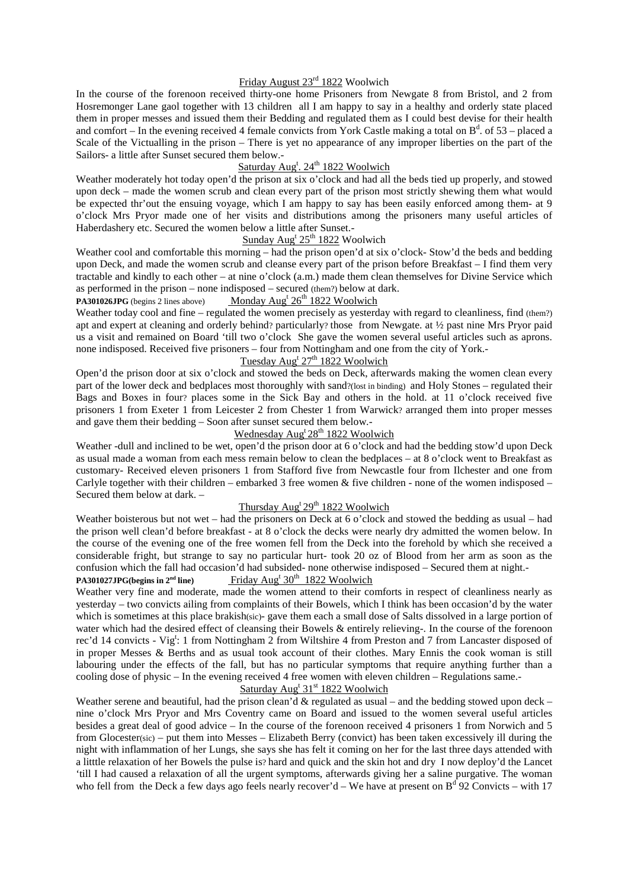## Friday August 23rd 1822 Woolwich

In the course of the forenoon received thirty-one home Prisoners from Newgate 8 from Bristol, and 2 from Hosremonger Lane gaol together with 13 children all I am happy to say in a healthy and orderly state placed them in proper messes and issued them their Bedding and regulated them as I could best devise for their health and comfort – In the evening received 4 female convicts from York Castle making a total on  $B^d$ . of 53 – placed a Scale of the Victualling in the prison – There is yet no appearance of any improper liberties on the part of the Sailors- a little after Sunset secured them below.-

## Saturday Aug<sup>t</sup>. 24<sup>th</sup> 1822 Woolwich

Weather moderately hot today open'd the prison at six o'clock and had all the beds tied up properly, and stowed upon deck – made the women scrub and clean every part of the prison most strictly shewing them what would be expected thr'out the ensuing voyage, which I am happy to say has been easily enforced among them- at 9 o'clock Mrs Pryor made one of her visits and distributions among the prisoners many useful articles of Haberdashery etc. Secured the women below a little after Sunset.-

## Sunday  $\text{Aug}^t 25^{\text{th}} 1822$  Woolwich

Weather cool and comfortable this morning – had the prison open'd at six o'clock- Stow'd the beds and bedding upon Deck, and made the women scrub and cleanse every part of the prison before Breakfast – I find them very tractable and kindly to each other – at nine o'clock (a.m.) made them clean themselves for Divine Service which as performed in the prison – none indisposed – secured (them?) below at dark.

#### PA301026JPG (begins 2 lines above) Monday Aug<sup>t</sup> 26<sup>th</sup> 1822 Woolwich

Weather today cool and fine – regulated the women precisely as yesterday with regard to cleanliness, find (them?) apt and expert at cleaning and orderly behind? particularly? those from Newgate. at ½ past nine Mrs Pryor paid us a visit and remained on Board 'till two o'clock She gave the women several useful articles such as aprons. none indisposed. Received five prisoners – four from Nottingham and one from the city of York.-

## Tuesday Aug<sup>t</sup> 27<sup>th</sup> 1822 Woolwich

Open'd the prison door at six o'clock and stowed the beds on Deck, afterwards making the women clean every part of the lower deck and bedplaces most thoroughly with sand?(lost in binding) and Holy Stones – regulated their Bags and Boxes in four? places some in the Sick Bay and others in the hold. at 11 o'clock received five prisoners 1 from Exeter 1 from Leicester 2 from Chester 1 from Warwick? arranged them into proper messes and gave them their bedding – Soon after sunset secured them below.-

## Wednesday Aug<sup>t</sup> 28<sup>th</sup> 1822 Woolwich

Weather -dull and inclined to be wet, open'd the prison door at 6 o'clock and had the bedding stow'd upon Deck as usual made a woman from each mess remain below to clean the bedplaces – at 8 o'clock went to Breakfast as customary- Received eleven prisoners 1 from Stafford five from Newcastle four from Ilchester and one from Carlyle together with their children – embarked 3 free women & five children - none of the women indisposed – Secured them below at dark. –

## Thursday  $\text{Aug}^t 29^{\text{th}} 1822$  Woolwich

Weather boisterous but not wet – had the prisoners on Deck at 6 o'clock and stowed the bedding as usual – had the prison well clean'd before breakfast - at 8 o'clock the decks were nearly dry admitted the women below. In the course of the evening one of the free women fell from the Deck into the forehold by which she received a considerable fright, but strange to say no particular hurt- took 20 oz of Blood from her arm as soon as the confusion which the fall had occasion'd had subsided- none otherwise indisposed – Secured them at night.-

#### $PA301027JPG(begins in 2<sup>nd</sup> line)$ Friday Aug<sup>t</sup>  $30^{th}$  1822 Woolwich

Weather very fine and moderate, made the women attend to their comforts in respect of cleanliness nearly as yesterday – two convicts ailing from complaints of their Bowels, which I think has been occasion'd by the water which is sometimes at this place brakish(sic)- gave them each a small dose of Salts dissolved in a large portion of water which had the desired effect of cleansing their Bowels & entirely relieving-. In the course of the forenoon rec'd 14 convicts - Vig<sup>t</sup>: 1 from Nottingham 2 from Wiltshire 4 from Preston and 7 from Lancaster disposed of in proper Messes & Berths and as usual took account of their clothes. Mary Ennis the cook woman is still labouring under the effects of the fall, but has no particular symptoms that require anything further than a cooling dose of physic – In the evening received 4 free women with eleven children – Regulations same.-

## Saturday Aug<sup>t</sup> 31<sup>st</sup> 1822 Woolwich

Weather serene and beautiful, had the prison clean'd & regulated as usual – and the bedding stowed upon deck – nine o'clock Mrs Pryor and Mrs Coventry came on Board and issued to the women several useful articles besides a great deal of good advice – In the course of the forenoon received 4 prisoners 1 from Norwich and 5 from Glocester(sic) – put them into Messes – Elizabeth Berry (convict) has been taken excessively ill during the night with inflammation of her Lungs, she says she has felt it coming on her for the last three days attended with a litttle relaxation of her Bowels the pulse is? hard and quick and the skin hot and dry I now deploy'd the Lancet 'till I had caused a relaxation of all the urgent symptoms, afterwards giving her a saline purgative. The woman who fell from the Deck a few days ago feels nearly recover'd – We have at present on  $B^d$  92 Convicts – with 17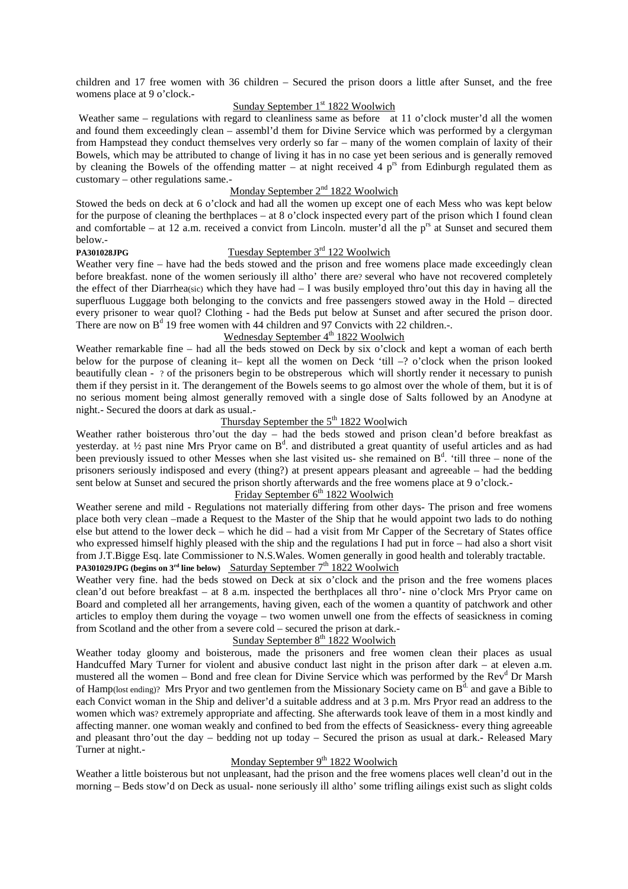children and 17 free women with 36 children – Secured the prison doors a little after Sunset, and the free womens place at 9 o'clock.-

## Sunday September  $1<sup>st</sup> 1822$  Woolwich

Weather same – regulations with regard to cleanliness same as before at 11 o'clock muster'd all the women and found them exceedingly clean – assembl'd them for Divine Service which was performed by a clergyman from Hampstead they conduct themselves very orderly so far – many of the women complain of laxity of their Bowels, which may be attributed to change of living it has in no case yet been serious and is generally removed by cleaning the Bowels of the offending matter – at night received 4  $p^{rs}$  from Edinburgh regulated them as customary – other regulations same.-

## Monday September 2<sup>nd</sup> 1822 Woolwich

Stowed the beds on deck at 6 o'clock and had all the women up except one of each Mess who was kept below for the purpose of cleaning the berthplaces – at  $8$  o'clock inspected every part of the prison which I found clean and comfortable – at 12 a.m. received a convict from Lincoln. muster'd all the  $p^{rs}$  at Sunset and secured them below.-

## **PA301028JPG** Tuesday September 3<sup>rd</sup> 122 Woolwich

Weather very fine – have had the beds stowed and the prison and free womens place made exceedingly clean before breakfast. none of the women seriously ill altho' there are? several who have not recovered completely the effect of ther Diarrhea(sic) which they have had – I was busily employed thro'out this day in having all the superfluous Luggage both belonging to the convicts and free passengers stowed away in the Hold – directed every prisoner to wear quol? Clothing - had the Beds put below at Sunset and after secured the prison door. There are now on  $B^d$  19 free women with 44 children and 97 Convicts with 22 children.-.

## Wednesday September 4<sup>th</sup> 1822 Woolwich

Weather remarkable fine – had all the beds stowed on Deck by six o'clock and kept a woman of each berth below for the purpose of cleaning it– kept all the women on Deck 'till –? o'clock when the prison looked beautifully clean - ? of the prisoners begin to be obstreperous which will shortly render it necessary to punish them if they persist in it. The derangement of the Bowels seems to go almost over the whole of them, but it is of no serious moment being almost generally removed with a single dose of Salts followed by an Anodyne at night.- Secured the doors at dark as usual.-

## Thursday September the  $5<sup>th</sup> 1822$  Woolwich

Weather rather boisterous thro'out the day – had the beds stowed and prison clean'd before breakfast as yesterday. at  $\frac{1}{2}$  past nine Mrs Pryor came on B<sup>d</sup>. and distributed a great quantity of useful articles and as had been previously issued to other Messes when she last visited us- she remained on  $B<sup>d</sup>$ . 'till three – none of the prisoners seriously indisposed and every (thing?) at present appears pleasant and agreeable – had the bedding sent below at Sunset and secured the prison shortly afterwards and the free womens place at 9 o'clock.-

## $Fridav$  September  $6<sup>th</sup>$  1822 Woolwich

Weather serene and mild - Regulations not materially differing from other days- The prison and free womens place both very clean –made a Request to the Master of the Ship that he would appoint two lads to do nothing else but attend to the lower deck – which he did – had a visit from Mr Capper of the Secretary of States office who expressed himself highly pleased with the ship and the regulations I had put in force – had also a short visit from J.T.Bigge Esq. late Commissioner to N.S.Wales. Women generally in good health and tolerably tractable. **PA301029JPG (begins on**  $3^{rd}$  **line below) Saturday September**  $7^{th}$  **1822 Woolwich** 

Weather very fine. had the beds stowed on Deck at six o'clock and the prison and the free womens places clean'd out before breakfast – at 8 a.m. inspected the berthplaces all thro'- nine o'clock Mrs Pryor came on Board and completed all her arrangements, having given, each of the women a quantity of patchwork and other articles to employ them during the voyage – two women unwell one from the effects of seasickness in coming from Scotland and the other from a severe cold – secured the prison at dark.-

## Sunday September  $8<sup>th</sup>$  1822 Woolwich

Weather today gloomy and boisterous, made the prisoners and free women clean their places as usual Handcuffed Mary Turner for violent and abusive conduct last night in the prison after dark – at eleven a.m. mustered all the women – Bond and free clean for Divine Service which was performed by the Rev<sup>d</sup> Dr Marsh of Hamp(lost ending)? Mrs Pryor and two gentlemen from the Missionary Society came on  $B<sup>d</sup>$  and gave a Bible to each Convict woman in the Ship and deliver'd a suitable address and at 3 p.m. Mrs Pryor read an address to the women which was? extremely appropriate and affecting. She afterwards took leave of them in a most kindly and affecting manner. one woman weakly and confined to bed from the effects of Seasickness- every thing agreeable and pleasant thro'out the day – bedding not up today – Secured the prison as usual at dark.- Released Mary Turner at night.-

## Monday September  $9<sup>th</sup> 1822$  Woolwich

Weather a little boisterous but not unpleasant, had the prison and the free womens places well clean'd out in the morning – Beds stow'd on Deck as usual- none seriously ill altho' some trifling ailings exist such as slight colds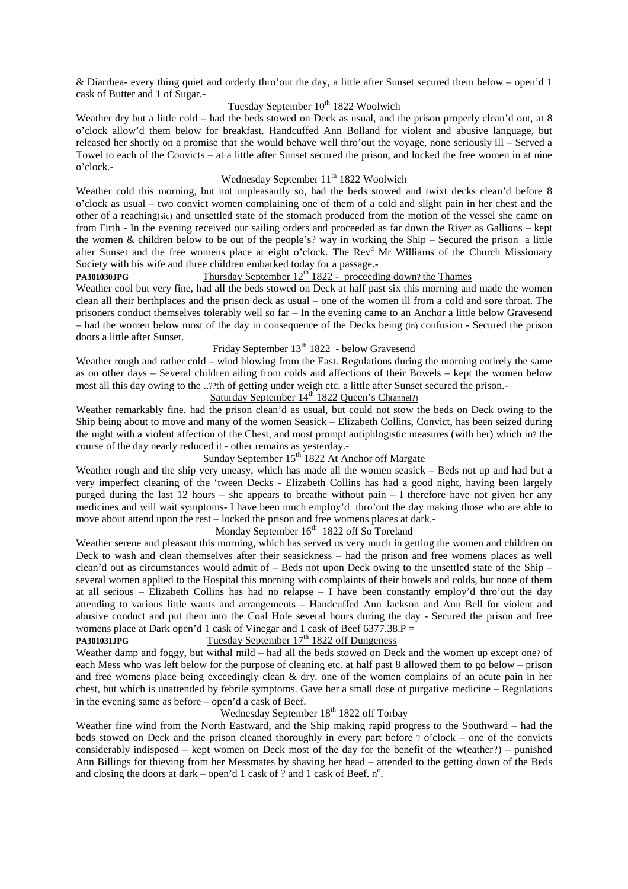& Diarrhea- every thing quiet and orderly thro'out the day, a little after Sunset secured them below – open'd 1 cask of Butter and 1 of Sugar.-

## Tuesday September  $10^{th}$  1822 Woolwich

Weather dry but a little cold – had the beds stowed on Deck as usual, and the prison properly clean'd out, at 8 o'clock allow'd them below for breakfast. Handcuffed Ann Bolland for violent and abusive language, but released her shortly on a promise that she would behave well thro'out the voyage, none seriously ill – Served a Towel to each of the Convicts – at a little after Sunset secured the prison, and locked the free women in at nine o'clock.-

## Wednesday September 11<sup>th</sup> 1822 Woolwich

Weather cold this morning, but not unpleasantly so, had the beds stowed and twixt decks clean'd before 8 o'clock as usual – two convict women complaining one of them of a cold and slight pain in her chest and the other of a reaching(sic) and unsettled state of the stomach produced from the motion of the vessel she came on from Firth - In the evening received our sailing orders and proceeded as far down the River as Gallions – kept the women & children below to be out of the people's? way in working the Ship – Secured the prison a little after Sunset and the free womens place at eight o'clock. The Rev<sup>d</sup> Mr Williams of the Church Missionary Society with his wife and three children embarked today for a passage.-

## **PA301030JPG** Thursday September 12<sup>th</sup> 1822 - proceeding down? the Thames

Weather cool but very fine, had all the beds stowed on Deck at half past six this morning and made the women clean all their berthplaces and the prison deck as usual – one of the women ill from a cold and sore throat. The prisoners conduct themselves tolerably well so far – In the evening came to an Anchor a little below Gravesend – had the women below most of the day in consequence of the Decks being (in) confusion - Secured the prison doors a little after Sunset.

## Friday September 13<sup>th</sup> 1822 - below Gravesend

Weather rough and rather cold – wind blowing from the East. Regulations during the morning entirely the same as on other days – Several children ailing from colds and affections of their Bowels – kept the women below most all this day owing to the ..??th of getting under weigh etc. a little after Sunset secured the prison.-

## Saturday September 14<sup>th</sup> 1822 Queen's Ch(annel?)

Weather remarkably fine. had the prison clean'd as usual, but could not stow the beds on Deck owing to the Ship being about to move and many of the women Seasick – Elizabeth Collins, Convict, has been seized during the night with a violent affection of the Chest, and most prompt antiphlogistic measures (with her) which in? the course of the day nearly reduced it - other remains as yesterday.-

## Sunday September  $15<sup>th</sup>$  1822 At Anchor off Margate

Weather rough and the ship very uneasy, which has made all the women seasick – Beds not up and had but a very imperfect cleaning of the 'tween Decks - Elizabeth Collins has had a good night, having been largely purged during the last 12 hours – she appears to breathe without pain  $-1$  therefore have not given her any medicines and will wait symptoms- I have been much employ'd thro'out the day making those who are able to move about attend upon the rest – locked the prison and free womens places at dark.-

# Monday September  $16<sup>th</sup>$  1822 off So Toreland

Weather serene and pleasant this morning, which has served us very much in getting the women and children on Deck to wash and clean themselves after their seasickness – had the prison and free womens places as well clean'd out as circumstances would admit of – Beds not upon Deck owing to the unsettled state of the Ship – several women applied to the Hospital this morning with complaints of their bowels and colds, but none of them at all serious – Elizabeth Collins has had no relapse – I have been constantly employ'd thro'out the day attending to various little wants and arrangements – Handcuffed Ann Jackson and Ann Bell for violent and abusive conduct and put them into the Coal Hole several hours during the day - Secured the prison and free womens place at Dark open'd 1 cask of Vinegar and 1 cask of Beef  $6377.38.P =$ 

## PA301031JPG **Tuesday September 17th 1822 off Dungeness**

Weather damp and foggy, but withal mild – had all the beds stowed on Deck and the women up except one? of each Mess who was left below for the purpose of cleaning etc. at half past 8 allowed them to go below – prison and free womens place being exceedingly clean & dry. one of the women complains of an acute pain in her chest, but which is unattended by febrile symptoms. Gave her a small dose of purgative medicine – Regulations in the evening same as before – open'd a cask of Beef.

## Wednesday September 18<sup>th</sup> 1822 off Torbay

Weather fine wind from the North Eastward, and the Ship making rapid progress to the Southward – had the beds stowed on Deck and the prison cleaned thoroughly in every part before ? o'clock – one of the convicts considerably indisposed – kept women on Deck most of the day for the benefit of the w(eather?) – punished Ann Billings for thieving from her Messmates by shaving her head – attended to the getting down of the Beds and closing the doors at dark – open'd 1 cask of ? and 1 cask of Beef.  $n^{\circ}$ .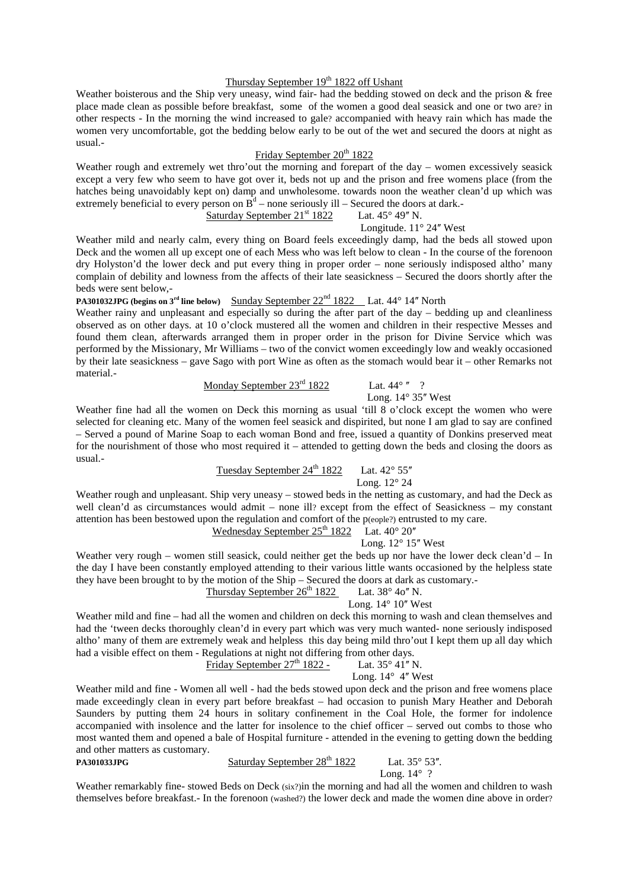## Thursday September 19<sup>th</sup> 1822 off Ushant

Weather boisterous and the Ship very uneasy, wind fair- had the bedding stowed on deck and the prison & free place made clean as possible before breakfast, some of the women a good deal seasick and one or two are? in other respects - In the morning the wind increased to gale? accompanied with heavy rain which has made the women very uncomfortable, got the bedding below early to be out of the wet and secured the doors at night as usual.-

## Friday September 20<sup>th</sup> 1822

Weather rough and extremely wet thro'out the morning and forepart of the day – women excessively seasick except a very few who seem to have got over it, beds not up and the prison and free womens place (from the hatches being unavoidably kept on) damp and unwholesome. towards noon the weather clean'd up which was extremely beneficial to every person on  $B<sup>d</sup>$  – none seriously ill – Secured the doors at dark.

Saturday September 21st 1822 Lat. 45° 49ʺ N.

Longitude.  $11^{\circ}$  24" West

Weather mild and nearly calm, every thing on Board feels exceedingly damp, had the beds all stowed upon Deck and the women all up except one of each Mess who was left below to clean - In the course of the forenoon dry Holyston'd the lower deck and put every thing in proper order – none seriously indisposed altho' many complain of debility and lowness from the affects of their late seasickness – Secured the doors shortly after the beds were sent below,-

**PA301032JPG (begins on 3<sup>rd</sup> line below)** Sunday September 22<sup>nd</sup> 1822 Lat. 44° 14" North

Weather rainy and unpleasant and especially so during the after part of the day – bedding up and cleanliness observed as on other days. at 10 o'clock mustered all the women and children in their respective Messes and found them clean, afterwards arranged them in proper order in the prison for Divine Service which was performed by the Missionary, Mr Williams – two of the convict women exceedingly low and weakly occasioned by their late seasickness – gave Sago with port Wine as often as the stomach would bear it – other Remarks not material.-

Monday September  $23^{\text{rd}}$  1822 Lat.  $44^{\circ}$  "?

Long.  $14^{\circ}$  35" West

Weather fine had all the women on Deck this morning as usual 'till 8 o'clock except the women who were selected for cleaning etc. Many of the women feel seasick and dispirited, but none I am glad to say are confined – Served a pound of Marine Soap to each woman Bond and free, issued a quantity of Donkins preserved meat for the nourishment of those who most required it – attended to getting down the beds and closing the doors as usual.-

## Tuesday September  $24^{th}$  1822 Lat.  $42^{\circ}$  55"

Long. 12° 24

Weather rough and unpleasant. Ship very uneasy – stowed beds in the netting as customary, and had the Deck as well clean'd as circumstances would admit – none ill? except from the effect of Seasickness – my constant attention has been bestowed upon the regulation and comfort of the p(eople?) entrusted to my care.

## Wednesday September  $25<sup>th</sup> 1822$  Lat.  $40<sup>°</sup> 20''$

Long. 12° 15ʺ West

Weather very rough – women still seasick, could neither get the beds up nor have the lower deck clean'd – In the day I have been constantly employed attending to their various little wants occasioned by the helpless state they have been brought to by the motion of the Ship – Secured the doors at dark as customary.- Thursday September  $26<sup>th</sup> 1822$  Lat. 38° 40" N.

## Long.  $14^{\circ}$  10" West

Weather mild and fine – had all the women and children on deck this morning to wash and clean themselves and had the 'tween decks thoroughly clean'd in every part which was very much wanted- none seriously indisposed altho' many of them are extremely weak and helpless this day being mild thro'out I kept them up all day which had a visible effect on them - Regulations at night not differing from other days.<br>Friday September  $27^{\text{th}}$  1822 - Lat.  $35^{\circ}$  41" N.

```
Friday September 27<sup>th</sup> 1822 -
```
Long.  $14^{\circ}$  4" West

Weather mild and fine - Women all well - had the beds stowed upon deck and the prison and free womens place made exceedingly clean in every part before breakfast – had occasion to punish Mary Heather and Deborah Saunders by putting them 24 hours in solitary confinement in the Coal Hole, the former for indolence accompanied with insolence and the latter for insolence to the chief officer – served out combs to those who most wanted them and opened a bale of Hospital furniture - attended in the evening to getting down the bedding and other matters as customary. **PA301033JPG Saturday September 28<sup>th</sup> 1822** Lat. 35° 53".

Long.  $14^{\circ}$  ?

Weather remarkably fine- stowed Beds on Deck (six?)in the morning and had all the women and children to wash themselves before breakfast.- In the forenoon (washed?) the lower deck and made the women dine above in order?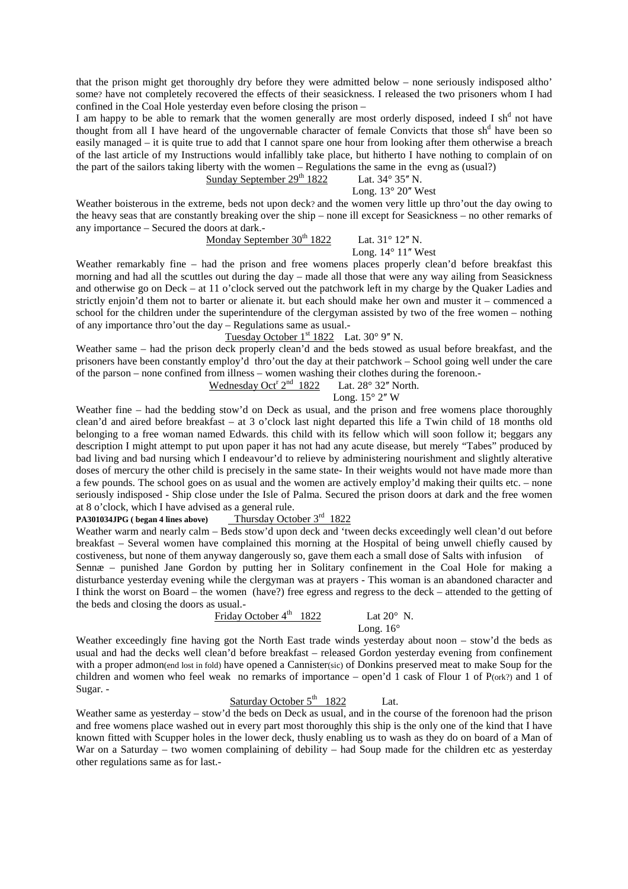that the prison might get thoroughly dry before they were admitted below – none seriously indisposed altho' some? have not completely recovered the effects of their seasickness. I released the two prisoners whom I had confined in the Coal Hole yesterday even before closing the prison –

I am happy to be able to remark that the women generally are most orderly disposed, indeed I sh<sup>d</sup> not have thought from all I have heard of the ungovernable character of female Convicts that those sh<sup>d</sup> have been so easily managed – it is quite true to add that I cannot spare one hour from looking after them otherwise a breach of the last article of my Instructions would infallibly take place, but hitherto I have nothing to complain of on the part of the sailors taking liberty with the women – Regulations the same in the evng as (usual?)

## Sunday September  $29^{th}$  1822 Lat. 34 $\degree$  35" N.

#### Long.  $13^{\circ}$  20" West

Weather boisterous in the extreme, beds not upon deck? and the women very little up thro'out the day owing to the heavy seas that are constantly breaking over the ship – none ill except for Seasickness – no other remarks of any importance – Secured the doors at dark.-

# Monday September  $30<sup>th</sup> 1822$  Lat.  $31<sup>°</sup> 12''$  N.

## Long.  $14^{\circ}$  11" West

Weather remarkably fine – had the prison and free womens places properly clean'd before breakfast this morning and had all the scuttles out during the day – made all those that were any way ailing from Seasickness and otherwise go on Deck – at 11 o'clock served out the patchwork left in my charge by the Quaker Ladies and strictly enjoin'd them not to barter or alienate it. but each should make her own and muster it – commenced a school for the children under the superintendure of the clergyman assisted by two of the free women – nothing of any importance thro'out the day – Regulations same as usual.-

## Tuesday October  $1<sup>st</sup> 1822$  Lat. 30° 9" N.

Weather same – had the prison deck properly clean'd and the beds stowed as usual before breakfast, and the prisoners have been constantly employ'd thro'out the day at their patchwork – School going well under the care of the parson – none confined from illness – women washing their clothes during the forenoon.- Wednesday Oct<sup>r</sup> 2<sup>nd</sup> 1822

#### Lat.  $28^\circ$  32" North. Long.  $15^{\circ}$  2" W

Weather fine – had the bedding stow'd on Deck as usual, and the prison and free womens place thoroughly clean'd and aired before breakfast – at 3 o'clock last night departed this life a Twin child of 18 months old belonging to a free woman named Edwards. this child with its fellow which will soon follow it; beggars any description I might attempt to put upon paper it has not had any acute disease, but merely "Tabes" produced by bad living and bad nursing which I endeavour'd to relieve by administering nourishment and slightly alterative doses of mercury the other child is precisely in the same state- In their weights would not have made more than a few pounds. The school goes on as usual and the women are actively employ'd making their quilts etc. – none seriously indisposed - Ship close under the Isle of Palma. Secured the prison doors at dark and the free women at 8 o'clock, which I have advised as a general rule.

## **PA301034JPG ( began 4 lines above)** Thursday October 3<sup>rd</sup> 1822

Weather warm and nearly calm – Beds stow'd upon deck and 'tween decks exceedingly well clean'd out before breakfast – Several women have complained this morning at the Hospital of being unwell chiefly caused by costiveness, but none of them anyway dangerously so, gave them each a small dose of Salts with infusion of Sennæ – punished Jane Gordon by putting her in Solitary confinement in the Coal Hole for making a disturbance yesterday evening while the clergyman was at prayers - This woman is an abandoned character and I think the worst on Board – the women (have?) free egress and regress to the deck – attended to the getting of the beds and closing the doors as usual.-

## Friday October  $4^{\text{th}}$  1822 Lat  $20^{\circ}$  N.

Long. 16°

Weather exceedingly fine having got the North East trade winds yesterday about noon – stow'd the beds as usual and had the decks well clean'd before breakfast – released Gordon yesterday evening from confinement with a proper admon(end lost in fold) have opened a Cannister(sic) of Donkins preserved meat to make Soup for the children and women who feel weak no remarks of importance – open'd 1 cask of Flour 1 of P(ork?) and 1 of Sugar. -

## Saturday October  $5^{\text{th}}$  1822 Lat.

Weather same as yesterday – stow'd the beds on Deck as usual, and in the course of the forenoon had the prison and free womens place washed out in every part most thoroughly this ship is the only one of the kind that I have known fitted with Scupper holes in the lower deck, thusly enabling us to wash as they do on board of a Man of War on a Saturday – two women complaining of debility – had Soup made for the children etc as vesterday other regulations same as for last.-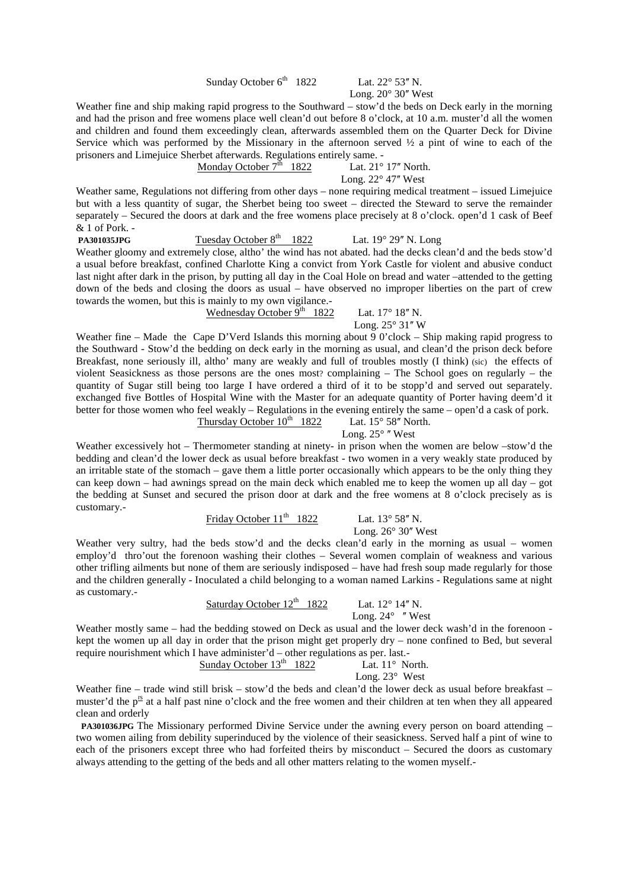Sunday October  $6^{th}$  1822 Lat. 22 $^{\circ}$  53" N.

Long.  $20^{\circ}$  30" West

Weather fine and ship making rapid progress to the Southward – stow'd the beds on Deck early in the morning and had the prison and free womens place well clean'd out before 8 o'clock, at 10 a.m. muster'd all the women and children and found them exceedingly clean, afterwards assembled them on the Quarter Deck for Divine Service which was performed by the Missionary in the afternoon served ½ a pint of wine to each of the prisoners and Limejuice Sherbet afterwards. Regulations entirely same. -

## Monday October  $7^{\text{th}}$  1822 Lat. 21° 17" North.

Long.  $22^{\circ}$  47" West

Weather same, Regulations not differing from other days – none requiring medical treatment – issued Limejuice but with a less quantity of sugar, the Sherbet being too sweet – directed the Steward to serve the remainder separately – Secured the doors at dark and the free womens place precisely at 8 o'clock. open'd 1 cask of Beef & 1 of Pork. -

**PA301035JPG** Tuesday October 8<sup>th</sup> 1822 Lat. 19° 29" N. Long Weather gloomy and extremely close, altho' the wind has not abated. had the decks clean'd and the beds stow'd a usual before breakfast, confined Charlotte King a convict from York Castle for violent and abusive conduct last night after dark in the prison, by putting all day in the Coal Hole on bread and water –attended to the getting down of the beds and closing the doors as usual – have observed no improper liberties on the part of crew towards the women, but this is mainly to my own vigilance.-

Wednesday October  $9^{th}$  1822 Lat. 17° 18" N.

Long.  $25^{\circ}$  31" W

Weather fine – Made the Cape D'Verd Islands this morning about 9 0'clock – Ship making rapid progress to the Southward - Stow'd the bedding on deck early in the morning as usual, and clean'd the prison deck before Breakfast, none seriously ill, altho' many are weakly and full of troubles mostly (I think) (sic) the effects of violent Seasickness as those persons are the ones most? complaining – The School goes on regularly – the quantity of Sugar still being too large I have ordered a third of it to be stopp'd and served out separately. exchanged five Bottles of Hospital Wine with the Master for an adequate quantity of Porter having deem'd it better for those women who feel weakly – Regulations in the evening entirely the same – open'd a cask of pork.<br>Thursday October  $10^{th}$  1822 Lat.  $15^{\circ} 58''$  North. Thursday October  $10^{th}$  1822

Long.  $25^{\circ}$  "West

Weather excessively hot – Thermometer standing at ninety- in prison when the women are below –stow'd the bedding and clean'd the lower deck as usual before breakfast - two women in a very weakly state produced by an irritable state of the stomach – gave them a little porter occasionally which appears to be the only thing they can keep down – had awnings spread on the main deck which enabled me to keep the women up all day – got the bedding at Sunset and secured the prison door at dark and the free womens at 8 o'clock precisely as is customary.-

Friday October  $11<sup>th</sup>$  1822 Lat.  $13°58''$  N.

Long.  $26^{\circ}$  30" West

Weather very sultry, had the beds stow'd and the decks clean'd early in the morning as usual – women employ'd thro'out the forenoon washing their clothes – Several women complain of weakness and various other trifling ailments but none of them are seriously indisposed – have had fresh soup made regularly for those and the children generally - Inoculated a child belonging to a woman named Larkins - Regulations same at night as customary.-

Saturday October  $12^{th}$  1822 Lat.  $12^{\circ}$  14" N.

Long.  $24^\circ$  "West

Weather mostly same – had the bedding stowed on Deck as usual and the lower deck wash'd in the forenoon kept the women up all day in order that the prison might get properly dry – none confined to Bed, but several require nourishment which I have administer'd – other regulations as per. last.-

Sunday October  $13<sup>th</sup>$  1822 Lat.  $11<sup>°</sup>$  North.

Long. 23° West

Weather fine – trade wind still brisk – stow'd the beds and clean'd the lower deck as usual before breakfast – muster'd the  $p^{\text{rs}}$  at a half past nine o'clock and the free women and their children at ten when they all appeared clean and orderly

 **PA301036JPG** The Missionary performed Divine Service under the awning every person on board attending – two women ailing from debility superinduced by the violence of their seasickness. Served half a pint of wine to each of the prisoners except three who had forfeited theirs by misconduct – Secured the doors as customary always attending to the getting of the beds and all other matters relating to the women myself.-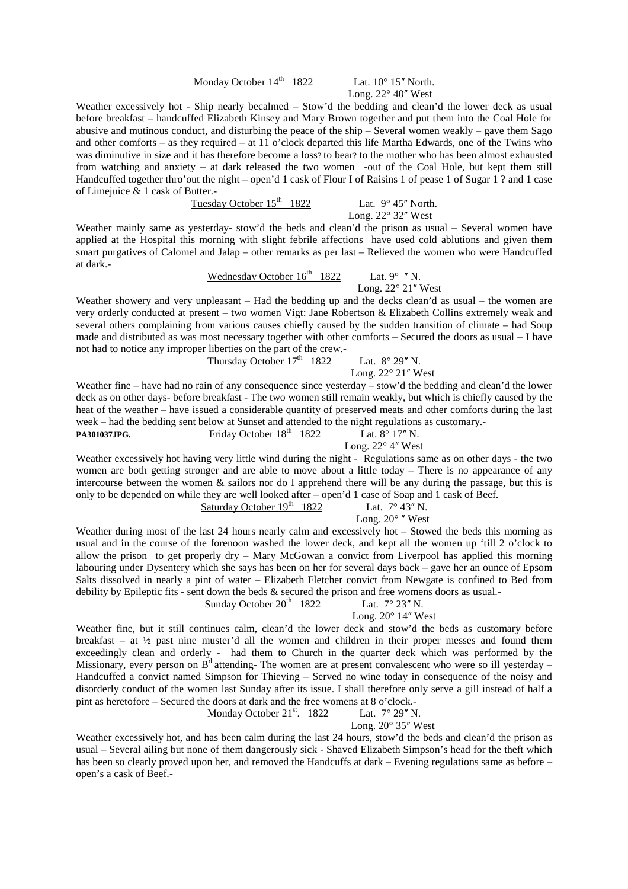## Monday October  $14<sup>th</sup>$  1822 Lat.  $10<sup>°</sup>$  15<sup> *North.</sup>*

Long.  $22^{\circ}$  40" West

Weather excessively hot - Ship nearly becalmed – Stow'd the bedding and clean'd the lower deck as usual before breakfast – handcuffed Elizabeth Kinsey and Mary Brown together and put them into the Coal Hole for abusive and mutinous conduct, and disturbing the peace of the ship – Several women weakly – gave them Sago and other comforts – as they required – at 11 o'clock departed this life Martha Edwards, one of the Twins who was diminutive in size and it has therefore become a loss? to bear? to the mother who has been almost exhausted from watching and anxiety – at dark released the two women -out of the Coal Hole, but kept them still Handcuffed together thro'out the night – open'd 1 cask of Flour I of Raisins 1 of pease 1 of Sugar 1? and 1 case of Limejuice & 1 cask of Butter.-

Tuesday October  $15<sup>th</sup>$  1822 Lat. 9° 45" North.

Long.  $22^{\circ}$  32" West

Weather mainly same as yesterday- stow'd the beds and clean'd the prison as usual – Several women have applied at the Hospital this morning with slight febrile affections have used cold ablutions and given them smart purgatives of Calomel and Jalap – other remarks as per last – Relieved the women who were Handcuffed at dark.-

Wednesday October  $16^{th}$  1822 Lat. 9° "N.

Long.  $22^{\circ}$  21" West

Weather showery and very unpleasant – Had the bedding up and the decks clean'd as usual – the women are very orderly conducted at present – two women Vigt: Jane Robertson & Elizabeth Collins extremely weak and several others complaining from various causes chiefly caused by the sudden transition of climate – had Soup made and distributed as was most necessary together with other comforts – Secured the doors as usual – I have not had to notice any improper liberties on the part of the crew.-

Thursday October  $17<sup>th</sup>$  1822 Lat.  $8° 29''$  N.

Long.  $22^{\circ}$  21" West

Weather fine – have had no rain of any consequence since yesterday – stow'd the bedding and clean'd the lower deck as on other days- before breakfast - The two women still remain weakly, but which is chiefly caused by the heat of the weather – have issued a considerable quantity of preserved meats and other comforts during the last week – had the bedding sent below at Sunset and attended to the night regulations as customary.<br>PA301037JPG. Friday October  $18^{th}$  1822 Lat.  $8^{\circ}$  17" N.

### **PA301037JPG. Friday October 18th** 1822 Long.  $22^{\circ}$  4" West

Weather excessively hot having very little wind during the night - Regulations same as on other days - the two women are both getting stronger and are able to move about a little today – There is no appearance of any intercourse between the women & sailors nor do I apprehend there will be any during the passage, but this is only to be depended on while they are well looked after – open'd 1 case of Soap and 1 cask of Beef.

Saturday October  $19<sup>th</sup>$  1822 Lat.  $7^{\circ}$  43" N.

Long.  $20^{\circ}$  "West

Weather during most of the last 24 hours nearly calm and excessively hot – Stowed the beds this morning as usual and in the course of the forenoon washed the lower deck, and kept all the women up 'till 2 o'clock to allow the prison to get properly dry – Mary McGowan a convict from Liverpool has applied this morning labouring under Dysentery which she says has been on her for several days back – gave her an ounce of Epsom Salts dissolved in nearly a pint of water – Elizabeth Fletcher convict from Newgate is confined to Bed from debility by Epileptic fits - sent down the beds & secured the prison and free womens doors as usual.-<br>Sunday October 20<sup>th</sup> 1822 Lat.  $7^{\circ}$  23" N. Sunday October  $20<sup>th</sup>$  1822

## Long.  $20^{\circ}$  14" West

Weather fine, but it still continues calm, clean'd the lower deck and stow'd the beds as customary before breakfast – at ½ past nine muster'd all the women and children in their proper messes and found them exceedingly clean and orderly - had them to Church in the quarter deck which was performed by the Missionary, every person on  $B<sup>d</sup>$  attending- The women are at present convalescent who were so ill yesterday – Handcuffed a convict named Simpson for Thieving – Served no wine today in consequence of the noisy and disorderly conduct of the women last Sunday after its issue. I shall therefore only serve a gill instead of half a pint as heretofore – Secured the doors at dark and the free womens at 8 o'clock.-

### Monday October  $21^{st}$ . 1822 Lat.  $7^{\circ}$  29" N.

Long.  $20^{\circ}$  35" West

Weather excessively hot, and has been calm during the last 24 hours, stow'd the beds and clean'd the prison as usual – Several ailing but none of them dangerously sick - Shaved Elizabeth Simpson's head for the theft which has been so clearly proved upon her, and removed the Handcuffs at dark – Evening regulations same as before – open's a cask of Beef.-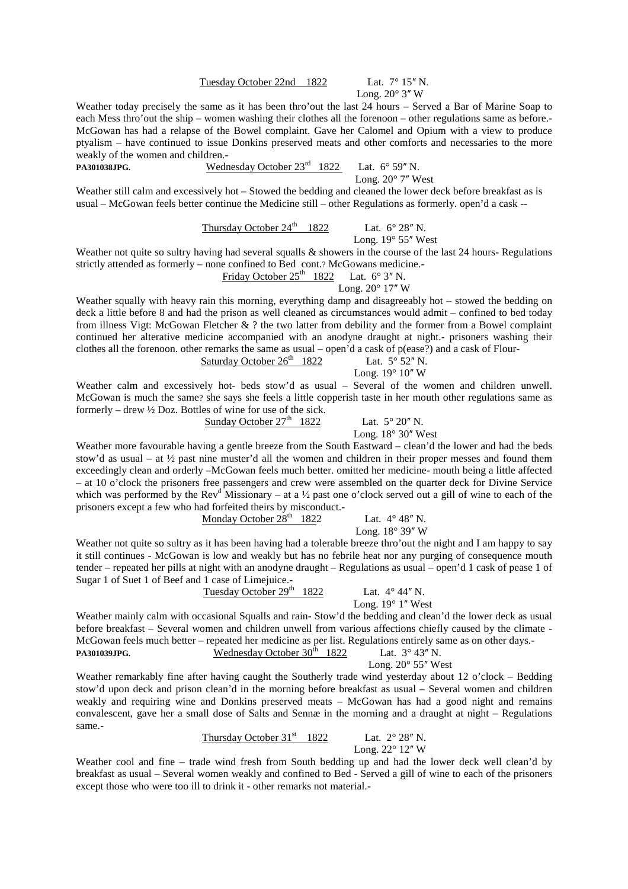### Tuesday October 22nd 1822 Lat. 7° 15" N.

Long.  $20^{\circ}$  3" W

Weather today precisely the same as it has been thro'out the last 24 hours – Served a Bar of Marine Soap to each Mess thro'out the ship – women washing their clothes all the forenoon – other regulations same as before.- McGowan has had a relapse of the Bowel complaint. Gave her Calomel and Opium with a view to produce ptyalism – have continued to issue Donkins preserved meats and other comforts and necessaries to the more weakly of the women and children.-

**PA301038JPG.** Wednesday October 23<sup>rd</sup> 1822 Lat. 6° 59" N.

Long.  $20^{\circ}$  7" West

Weather still calm and excessively hot – Stowed the bedding and cleaned the lower deck before breakfast as is usual – McGowan feels better continue the Medicine still – other Regulations as formerly. open'd a cask --

Thursday October  $24^{\text{th}}$  1822 Lat.  $6^{\circ} 28''$  N.

Long.  $19^{\circ}$  55" West

Weather not quite so sultry having had several squalls & showers in the course of the last 24 hours- Regulations strictly attended as formerly – none confined to Bed cont.? McGowans medicine.-

> Friday October  $25<sup>th</sup>$  1822 Lat. 6° 3" N. Long.  $20^{\circ}$  17" W

Weather squally with heavy rain this morning, everything damp and disagreeably hot – stowed the bedding on deck a little before 8 and had the prison as well cleaned as circumstances would admit – confined to bed today from illness Vigt: McGowan Fletcher & ? the two latter from debility and the former from a Bowel complaint continued her alterative medicine accompanied with an anodyne draught at night.- prisoners washing their clothes all the forenoon. other remarks the same as usual – open'd a cask of p(ease?) and a cask of Flour-<br>Saturday October  $26^{\text{th}}$  1822 Lat.  $5^{\circ} 52^{\prime\prime}$  N.

| Saturday October $26th$ 1822 | Lat. $5^{\circ}$ 52" N.     |  |  |
|------------------------------|-----------------------------|--|--|
|                              | Long. $19^{\circ}$ $10''$ W |  |  |

Weather calm and excessively hot- beds stow'd as usual – Several of the women and children unwell. McGowan is much the same? she says she feels a little copperish taste in her mouth other regulations same as formerly – drew ½ Doz. Bottles of wine for use of the sick.

Sunday October  $27<sup>th</sup>$  1822 Lat.  $5^{\circ}$  20" N.

Long.  $18^\circ 30''$  West

Weather more favourable having a gentle breeze from the South Eastward – clean'd the lower and had the beds stow'd as usual – at ½ past nine muster'd all the women and children in their proper messes and found them exceedingly clean and orderly –McGowan feels much better. omitted her medicine- mouth being a little affected – at 10 o'clock the prisoners free passengers and crew were assembled on the quarter deck for Divine Service which was performed by the Rev<sup>d</sup> Missionary – at a ½ past one o'clock served out a gill of wine to each of the prisoners except a few who had forfeited theirs by misconduct.-

Monday October  $28<sup>th</sup>$  1822 Lat.  $4^{\circ} 48''$  N.

Long.  $18^{\circ}$  39" W

Weather not quite so sultry as it has been having had a tolerable breeze thro'out the night and I am happy to say it still continues - McGowan is low and weakly but has no febrile heat nor any purging of consequence mouth tender – repeated her pills at night with an anodyne draught – Regulations as usual – open'd 1 cask of pease 1 of Sugar 1 of Suet 1 of Beef and 1 case of Limejuice.-

Tuesday October  $29<sup>th</sup>$  1822 Lat.  $4^{\circ}$  44" N.

Long.  $19^{\circ}$  1" West

Weather mainly calm with occasional Squalls and rain- Stow'd the bedding and clean'd the lower deck as usual before breakfast – Several women and children unwell from various affections chiefly caused by the climate - McGowan feels much better – repeated her medicine as per list. Regulations entirely same as on other days.<br>PA301039JPG. Wednesday October  $30^{th}$  1822 Lat.  $3^{\circ}$  43" N. PA301039JPG. Wednesday October 30<sup>th</sup> 1822

Long.  $20^{\circ}$  55" West

Weather remarkably fine after having caught the Southerly trade wind yesterday about 12 o'clock – Bedding stow'd upon deck and prison clean'd in the morning before breakfast as usual – Several women and children weakly and requiring wine and Donkins preserved meats – McGowan has had a good night and remains convalescent, gave her a small dose of Salts and Sennæ in the morning and a draught at night – Regulations same.-

> Thursday October  $31<sup>st</sup>$  1822 Lat.  $2^{\circ} 28''$  N. Long.  $22^\circ$  12" W

Weather cool and fine – trade wind fresh from South bedding up and had the lower deck well clean'd by breakfast as usual – Several women weakly and confined to Bed - Served a gill of wine to each of the prisoners except those who were too ill to drink it - other remarks not material.-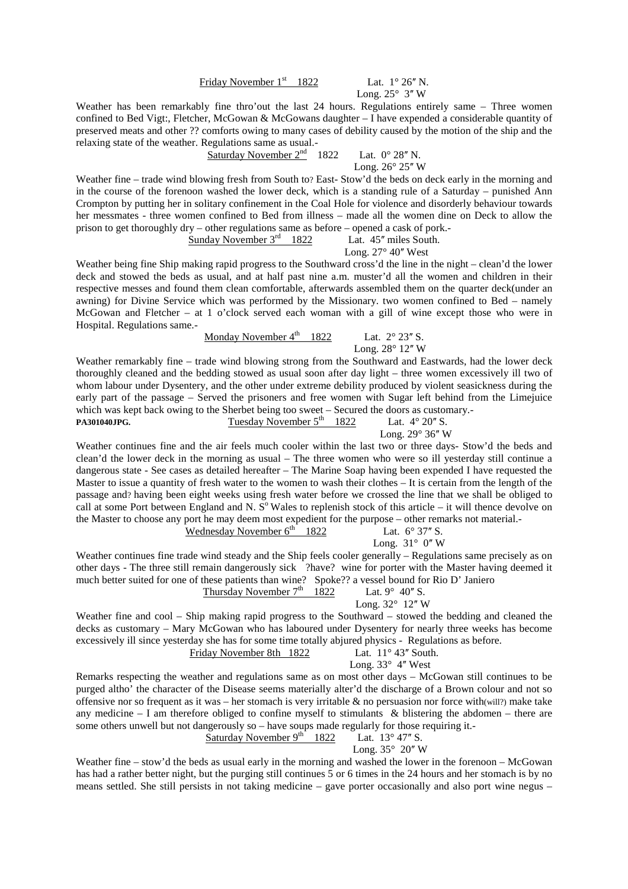## Friday November  $1<sup>st</sup>$  1822 Lat.  $1<sup>°</sup> 26''$  N.

Long.  $25^\circ$  3" W

Weather has been remarkably fine thro'out the last 24 hours. Regulations entirely same – Three women confined to Bed Vigt:, Fletcher, McGowan & McGowans daughter – I have expended a considerable quantity of preserved meats and other ?? comforts owing to many cases of debility caused by the motion of the ship and the relaxing state of the weather. Regulations same as usual.-

> Saturday November  $2^{nd}$  1822 Lat.  $0^{\circ}$  28" N. Long.  $26^\circ 25''$  W

Weather fine – trade wind blowing fresh from South to? East- Stow'd the beds on deck early in the morning and in the course of the forenoon washed the lower deck, which is a standing rule of a Saturday – punished Ann Crompton by putting her in solitary confinement in the Coal Hole for violence and disorderly behaviour towards her messmates - three women confined to Bed from illness – made all the women dine on Deck to allow the prison to get thoroughly dry – other regulations same as before – opened a cask of pork.- Sunday November  $3<sup>rd</sup>$  1822 Lat. 45<sup> *miles South.</sup>* 

Long.  $27^{\circ}$  40" West

Weather being fine Ship making rapid progress to the Southward cross'd the line in the night – clean'd the lower deck and stowed the beds as usual, and at half past nine a.m. muster'd all the women and children in their respective messes and found them clean comfortable, afterwards assembled them on the quarter deck(under an awning) for Divine Service which was performed by the Missionary. two women confined to Bed – namely McGowan and Fletcher – at 1 o'clock served each woman with a gill of wine except those who were in Hospital. Regulations same.-

Monday November  $4^{\text{th}}$  1822 Lat.  $2^{\circ}$  23" S.

Long.  $28^\circ$  12" W

Weather remarkably fine – trade wind blowing strong from the Southward and Eastwards, had the lower deck thoroughly cleaned and the bedding stowed as usual soon after day light – three women excessively ill two of whom labour under Dysentery, and the other under extreme debility produced by violent seasickness during the early part of the passage – Served the prisoners and free women with Sugar left behind from the Limejuice which was kept back owing to the Sherbet being too sweet – Secured the doors as customary.- **PA301040JPG.** Tuesday November  $5<sup>th</sup>$  1822 Lat.  $4^{\circ}$  20<sup>*n*</sup> S.

Long.  $29^\circ$  36" W

Weather continues fine and the air feels much cooler within the last two or three days- Stow'd the beds and clean'd the lower deck in the morning as usual – The three women who were so ill yesterday still continue a dangerous state - See cases as detailed hereafter – The Marine Soap having been expended I have requested the Master to issue a quantity of fresh water to the women to wash their clothes – It is certain from the length of the passage and? having been eight weeks using fresh water before we crossed the line that we shall be obliged to call at some Port between England and N.  $S^{\circ}$  Wales to replenish stock of this article – it will thence devolve on the Master to choose any port he may deem most expedient for the purpose – other remarks not material.-

Wednesday November  $6^{th}$  1822 Lat.  $6^{\circ}$  37" S.

Long.  $31^\circ$  0" W

Weather continues fine trade wind steady and the Ship feels cooler generally – Regulations same precisely as on other days - The three still remain dangerously sick ?have? wine for porter with the Master having deemed it much better suited for one of these patients than wine? Spoke?? a vessel bound for Rio D' Janiero Thursday November  $7<sup>th</sup>$  1822

Lat.  $9^{\circ}$  40" S.<br>Long.  $32^{\circ}$  12" W.

$$
2^{\circ}
$$
 12" W

Weather fine and cool – Ship making rapid progress to the Southward – stowed the bedding and cleaned the decks as customary – Mary McGowan who has laboured under Dysentery for nearly three weeks has become excessively ill since yesterday she has for some time totally abjured physics - Regulations as before. Friday November 8th

| th 1822 |  |  | Lat. $11^{\circ}$ 43" South |
|---------|--|--|-----------------------------|
|         |  |  |                             |

Long.  $33^\circ$  4" West

Remarks respecting the weather and regulations same as on most other days – McGowan still continues to be purged altho' the character of the Disease seems materially alter'd the discharge of a Brown colour and not so offensive nor so frequent as it was – her stomach is very irritable  $\&$  no persuasion nor force with(will?) make take any medicine – I am therefore obliged to confine myself to stimulants  $\&$  blistering the abdomen – there are some others unwell but not dangerously so – have soups made regularly for those requiring it.-

Saturday November  $9^{th}$  1822 Lat. 13° 47" S.

Long.  $35^{\circ}$  20" W

Weather fine – stow'd the beds as usual early in the morning and washed the lower in the forenoon – McGowan has had a rather better night, but the purging still continues 5 or 6 times in the 24 hours and her stomach is by no means settled. She still persists in not taking medicine – gave porter occasionally and also port wine negus –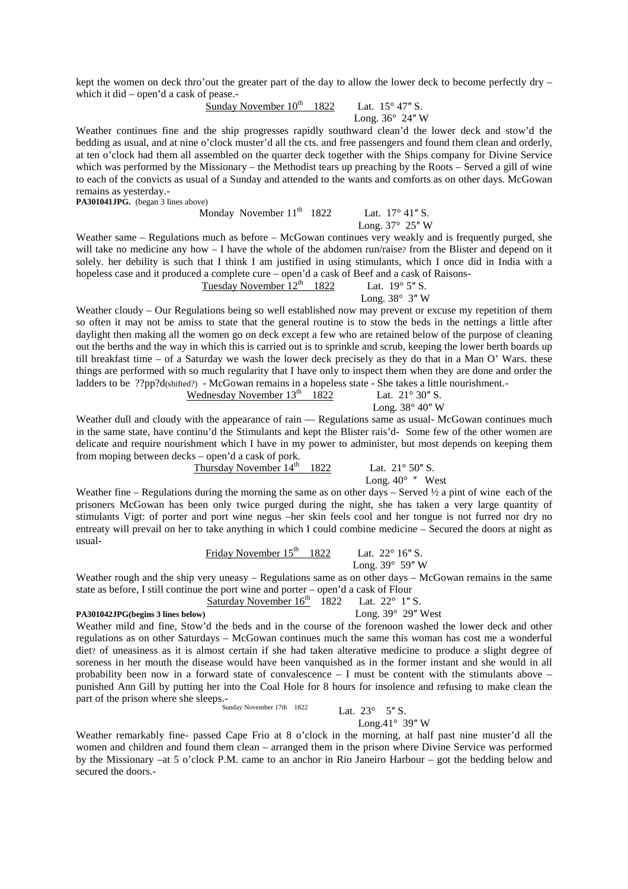kept the women on deck thro'out the greater part of the day to allow the lower deck to become perfectly dry – which it did – open'd a cask of pease.-

Sunday November  $10^{th}$  1822 Lat.  $15^{\circ}$  47" S.

Long.  $36^\circ$  24" W

Weather continues fine and the ship progresses rapidly southward clean'd the lower deck and stow'd the bedding as usual, and at nine o'clock muster'd all the cts. and free passengers and found them clean and orderly, at ten o'clock had them all assembled on the quarter deck together with the Ships company for Divine Service which was performed by the Missionary – the Methodist tears up preaching by the Roots – Served a gill of wine to each of the convicts as usual of a Sunday and attended to the wants and comforts as on other days. McGowan remains as yesterday.-

PA301041JPG. (began 3 lines above)

Monday November  $11<sup>th</sup>$  1822 Lat.  $17<sup>°</sup> 41'' S$ .

Long.  $37^\circ$  25" W

Weather same – Regulations much as before – McGowan continues very weakly and is frequently purged, she will take no medicine any how – I have the whole of the abdomen run/raise? from the Blister and depend on it solely. her debility is such that I think I am justified in using stimulants, which I once did in India with a hopeless case and it produced a complete cure – open'd a cask of Beef and a cask of Raisons-<br>Tuesday November  $12^{th}$  1822 Lat.  $19^{\circ}$  5" S.

Tuesday November  $12<sup>th</sup>$  1822 Long.  $38^\circ$  3" W

Weather cloudy – Our Regulations being so well established now may prevent or excuse my repetition of them so often it may not be amiss to state that the general routine is to stow the beds in the nettings a little after daylight then making all the women go on deck except a few who are retained below of the purpose of cleaning out the berths and the way in which this is carried out is to sprinkle and scrub, keeping the lower berth boards up till breakfast time – of a Saturday we wash the lower deck precisely as they do that in a Man O' Wars. these things are performed with so much regularity that I have only to inspect them when they are done and order the ladders to be ??pp?d(shifted?) - McGowan remains in a hopeless state - She takes a little nourishment.-

| Long. $38^{\circ}$ 40" W | Lat. $21^{\circ}$ 30" S. | Wednesday November $13th$ 1822 |  |
|--------------------------|--------------------------|--------------------------------|--|
|                          |                          |                                |  |

Weather dull and cloudy with the appearance of rain — Regulations same as usual-McGowan continues much in the same state, have continu'd the Stimulants and kept the Blister rais'd- Some few of the other women are delicate and require nourishment which I have in my power to administer, but most depends on keeping them from moping between decks – open'd a cask of pork.

Thursday November  $14<sup>th</sup>$  1822 Lat.  $21°50''$  S.

Long.  $40^{\circ}$  " West

Weather fine – Regulations during the morning the same as on other days – Served  $\frac{1}{2}$  a pint of wine each of the prisoners McGowan has been only twice purged during the night, she has taken a very large quantity of stimulants Vigt: of porter and port wine negus –her skin feels cool and her tongue is not furred nor dry no entreaty will prevail on her to take anything in which I could combine medicine – Secured the doors at night as usual-

> Friday November  $15<sup>th</sup>$  1822 Lat. 22° 16" S. Long.  $39^\circ$  59" W

Weather rough and the ship very uneasy – Regulations same as on other days – McGowan remains in the same state as before, I still continue the port wine and porter – open'd a cask of Flour

Saturday November  $16<sup>th</sup>$  1822 Lat. 22° 1" S.

#### **PA301042JPG(begins 3 lines below)** Long. 39° 29" West

Weather mild and fine, Stow'd the beds and in the course of the forenoon washed the lower deck and other regulations as on other Saturdays – McGowan continues much the same this woman has cost me a wonderful diet? of uneasiness as it is almost certain if she had taken alterative medicine to produce a slight degree of soreness in her mouth the disease would have been vanquished as in the former instant and she would in all probability been now in a forward state of convalescence  $-1$  must be content with the stimulants above  $$ punished Ann Gill by putting her into the Coal Hole for 8 hours for insolence and refusing to make clean the part of the prison where she sleeps.-

Sunday November 17th  $1822$  Lat.  $23^{\circ}$  5<sup>"</sup> S.

Long. $41^\circ$  39" W

Weather remarkably fine- passed Cape Frio at 8 o'clock in the morning, at half past nine muster'd all the women and children and found them clean – arranged them in the prison where Divine Service was performed by the Missionary –at 5 o'clock P.M. came to an anchor in Rio Janeiro Harbour – got the bedding below and secured the doors -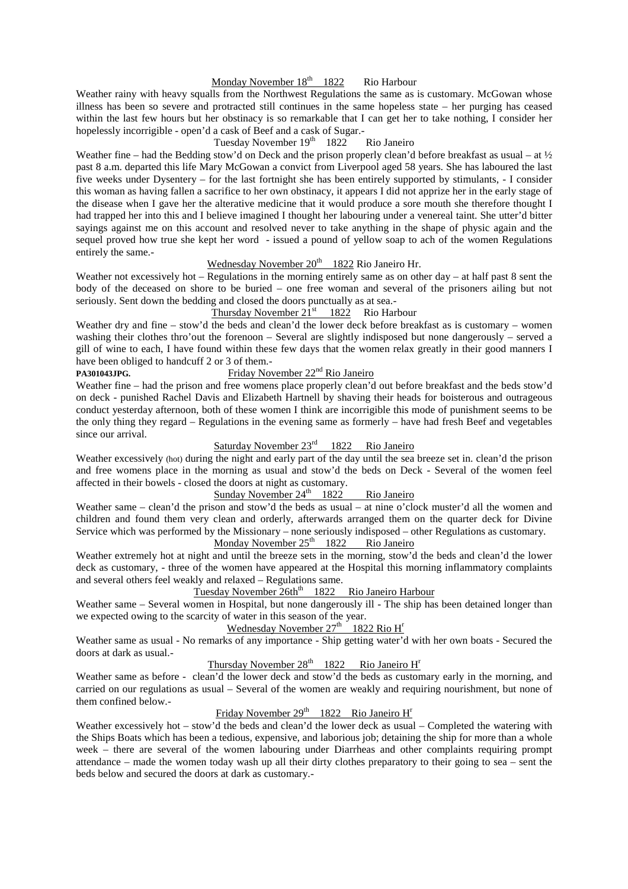## Monday November  $18<sup>th</sup>$  1822 Rio Harbour

Weather rainy with heavy squalls from the Northwest Regulations the same as is customary. McGowan whose illness has been so severe and protracted still continues in the same hopeless state – her purging has ceased within the last few hours but her obstinacy is so remarkable that I can get her to take nothing, I consider her hopelessly incorrigible - open'd a cask of Beef and a cask of Sugar.-

#### Tuesday November  $19<sup>th</sup>$  1822 Rio Janeiro

Weather fine – had the Bedding stow'd on Deck and the prison properly clean'd before breakfast as usual – at  $\frac{1}{2}$ past 8 a.m. departed this life Mary McGowan a convict from Liverpool aged 58 years. She has laboured the last five weeks under Dysentery – for the last fortnight she has been entirely supported by stimulants, - I consider this woman as having fallen a sacrifice to her own obstinacy, it appears I did not apprize her in the early stage of the disease when I gave her the alterative medicine that it would produce a sore mouth she therefore thought I had trapped her into this and I believe imagined I thought her labouring under a venereal taint. She utter'd bitter sayings against me on this account and resolved never to take anything in the shape of physic again and the sequel proved how true she kept her word - issued a pound of yellow soap to ach of the women Regulations entirely the same.-

## Wednesday November 20<sup>th</sup> 1822 Rio Janeiro Hr.

Weather not excessively hot – Regulations in the morning entirely same as on other day – at half past 8 sent the body of the deceased on shore to be buried – one free woman and several of the prisoners ailing but not seriously. Sent down the bedding and closed the doors punctually as at sea.-

## Thursday November  $21<sup>st</sup>$  1822 Rio Harbour

Weather dry and fine – stow'd the beds and clean'd the lower deck before breakfast as is customary – women washing their clothes thro'out the forenoon – Several are slightly indisposed but none dangerously – served a gill of wine to each, I have found within these few days that the women relax greatly in their good manners I have been obliged to handcuff 2 or 3 of them.-

## PA301043JPG. **Friday November 22<sup>nd</sup> Rio Janeiro**

Weather fine – had the prison and free womens place properly clean'd out before breakfast and the beds stow'd on deck - punished Rachel Davis and Elizabeth Hartnell by shaving their heads for boisterous and outrageous conduct yesterday afternoon, both of these women I think are incorrigible this mode of punishment seems to be the only thing they regard – Regulations in the evening same as formerly – have had fresh Beef and vegetables since our arrival.

## Saturday November 23<sup>rd</sup> 1822 Rio Janeiro

Weather excessively (hot) during the night and early part of the day until the sea breeze set in. clean'd the prison and free womens place in the morning as usual and stow'd the beds on Deck - Several of the women feel affected in their bowels - closed the doors at night as customary.

## Sunday November  $24<sup>th</sup>$  1822 Rio Janeiro

Weather same – clean'd the prison and stow'd the beds as usual – at nine o'clock muster'd all the women and children and found them very clean and orderly, afterwards arranged them on the quarter deck for Divine Service which was performed by the Missionary – none seriously indisposed – other Regulations as customary.

## Monday November  $25<sup>th</sup>$  1822 Rio Janeiro

Weather extremely hot at night and until the breeze sets in the morning, stow'd the beds and clean'd the lower deck as customary, - three of the women have appeared at the Hospital this morning inflammatory complaints and several others feel weakly and relaxed – Regulations same.

## Tuesday November  $26th^{th}$  1822 Rio Janeiro Harbour

Weather same – Several women in Hospital, but none dangerously ill - The ship has been detained longer than we expected owing to the scarcity of water in this season of the year.

## Wednesday November  $27<sup>th</sup>$  1822 Rio H<sup>r</sup>

Weather same as usual - No remarks of any importance - Ship getting water'd with her own boats - Secured the doors at dark as usual.-

## Thursday November  $28<sup>th</sup>$  1822 Rio Janeiro  $H<sup>r</sup>$

Weather same as before - clean'd the lower deck and stow'd the beds as customary early in the morning, and carried on our regulations as usual – Several of the women are weakly and requiring nourishment, but none of them confined below.-

## Friday November 29<sup>th</sup> 1822 Rio Janeiro H<sup>r</sup>

Weather excessively hot – stow'd the beds and clean'd the lower deck as usual – Completed the watering with the Ships Boats which has been a tedious, expensive, and laborious job; detaining the ship for more than a whole week – there are several of the women labouring under Diarrheas and other complaints requiring prompt attendance – made the women today wash up all their dirty clothes preparatory to their going to sea – sent the beds below and secured the doors at dark as customary.-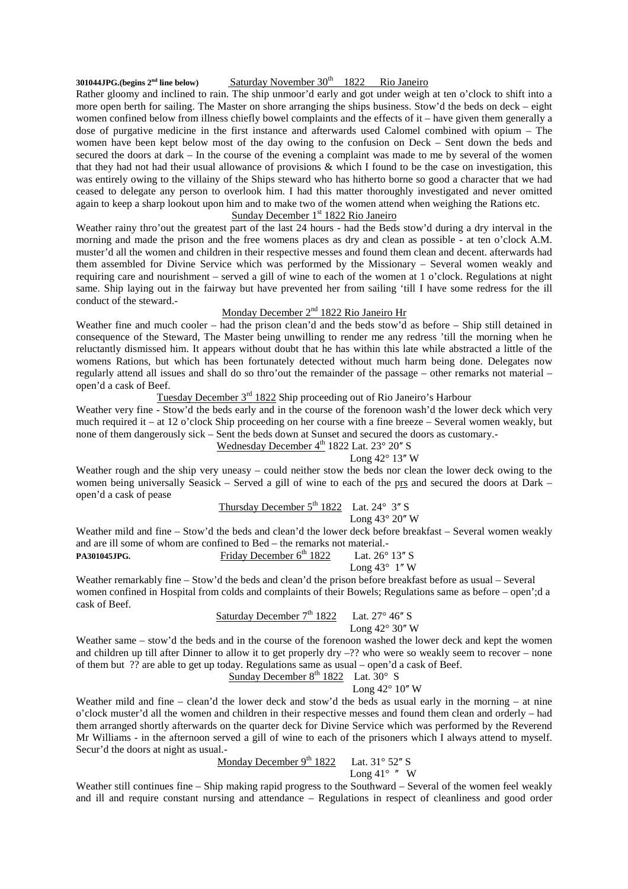## **301044JPG.(begins**  $2^{nd}$  **line below) Saturday November 30<sup>th</sup> 1822 Rio Janeiro**

Rather gloomy and inclined to rain. The ship unmoor'd early and got under weigh at ten o'clock to shift into a more open berth for sailing. The Master on shore arranging the ships business. Stow'd the beds on deck – eight women confined below from illness chiefly bowel complaints and the effects of it – have given them generally a dose of purgative medicine in the first instance and afterwards used Calomel combined with opium – The women have been kept below most of the day owing to the confusion on Deck – Sent down the beds and secured the doors at dark – In the course of the evening a complaint was made to me by several of the women that they had not had their usual allowance of provisions & which I found to be the case on investigation, this was entirely owing to the villainy of the Ships steward who has hitherto borne so good a character that we had ceased to delegate any person to overlook him. I had this matter thoroughly investigated and never omitted again to keep a sharp lookout upon him and to make two of the women attend when weighing the Rations etc.

## Sunday December  $1<sup>st</sup> 1822$  Rio Janeiro

Weather rainy thro'out the greatest part of the last 24 hours - had the Beds stow'd during a dry interval in the morning and made the prison and the free womens places as dry and clean as possible - at ten o'clock A.M. muster'd all the women and children in their respective messes and found them clean and decent. afterwards had them assembled for Divine Service which was performed by the Missionary – Several women weakly and requiring care and nourishment – served a gill of wine to each of the women at 1 o'clock. Regulations at night same. Ship laying out in the fairway but have prevented her from sailing 'till I have some redress for the ill conduct of the steward.-

## Monday December 2nd 1822 Rio Janeiro Hr

Weather fine and much cooler – had the prison clean'd and the beds stow'd as before – Ship still detained in consequence of the Steward, The Master being unwilling to render me any redress 'till the morning when he reluctantly dismissed him. It appears without doubt that he has within this late while abstracted a little of the womens Rations, but which has been fortunately detected without much harm being done. Delegates now regularly attend all issues and shall do so thro'out the remainder of the passage – other remarks not material – open'd a cask of Beef.

## Tuesday December 3<sup>rd</sup> 1822 Ship proceeding out of Rio Janeiro's Harbour

Weather very fine - Stow'd the beds early and in the course of the forenoon wash'd the lower deck which very much required it – at 12 o'clock Ship proceeding on her course with a fine breeze – Several women weakly, but none of them dangerously sick – Sent the beds down at Sunset and secured the doors as customary.-

Wednesday December  $4<sup>th</sup>$  1822 Lat. 23 $^{\circ}$  20" S

#### Long  $42^{\circ}$  13" W

Weather rough and the ship very uneasy – could neither stow the beds nor clean the lower deck owing to the women being universally Seasick – Served a gill of wine to each of the prs and secured the doors at Dark – open'd a cask of pease

Thursday December  $5^{th}$  1822 Lat. 24 $\degree$  3" S

Long  $43^\circ 20''$  W

Weather mild and fine – Stow'd the beds and clean'd the lower deck before breakfast – Several women weakly and are ill some of whom are confined to Bed – the remarks not material.-

**PA301045JPG.** Friday December 6<sup>th</sup> 1822 Lat. 26° 13" S

Long  $43^\circ$  1" W

Weather remarkably fine – Stow'd the beds and clean'd the prison before breakfast before as usual – Several women confined in Hospital from colds and complaints of their Bowels; Regulations same as before – open';d a cask of Beef.

Saturday December  $7<sup>th</sup> 1822$  Lat. 27° 46" S Long  $42^{\circ}$  30" W

Weather same – stow'd the beds and in the course of the forenoon washed the lower deck and kept the women and children up till after Dinner to allow it to get properly dry –?? who were so weakly seem to recover – none of them but ?? are able to get up today. Regulations same as usual – open'd a cask of Beef.

## Sunday December  $8^{th}$  1822 Lat.  $30^{\circ}$  S

Long  $42^{\circ}$  10" W

Weather mild and fine – clean'd the lower deck and stow'd the beds as usual early in the morning – at nine o'clock muster'd all the women and children in their respective messes and found them clean and orderly – had them arranged shortly afterwards on the quarter deck for Divine Service which was performed by the Reverend Mr Williams - in the afternoon served a gill of wine to each of the prisoners which I always attend to myself. Secur'd the doors at night as usual.-

Monday December  $9^{th}$  1822 Lat. 31° 52" S

Long  $41^\circ$  " W

Weather still continues fine – Ship making rapid progress to the Southward – Several of the women feel weakly and ill and require constant nursing and attendance – Regulations in respect of cleanliness and good order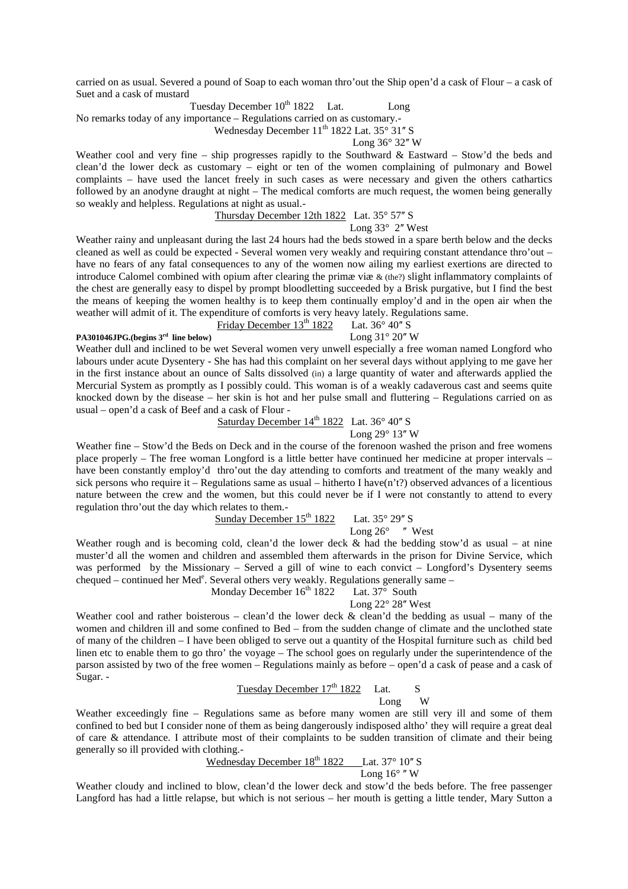carried on as usual. Severed a pound of Soap to each woman thro'out the Ship open'd a cask of Flour – a cask of Suet and a cask of mustard

Tuesday December  $10^{th}$  1822 Lat. Long

No remarks today of any importance – Regulations carried on as customary.- Wednesday December  $11^{th}$  1822 Lat. 35 $\degree$  31" S

Long  $36^\circ$  32" W

Weather cool and very fine – ship progresses rapidly to the Southward & Eastward – Stow'd the beds and clean'd the lower deck as customary – eight or ten of the women complaining of pulmonary and Bowel complaints – have used the lancet freely in such cases as were necessary and given the others cathartics followed by an anodyne draught at night – The medical comforts are much request, the women being generally so weakly and helpless. Regulations at night as usual.-

## Thursday December 12th 1822 Lat.  $35^{\circ}$  57" S

Long  $33^{\circ}$  2" West

Weather rainy and unpleasant during the last 24 hours had the beds stowed in a spare berth below and the decks cleaned as well as could be expected - Several women very weakly and requiring constant attendance thro'out – have no fears of any fatal consequences to any of the women now ailing my earliest exertions are directed to introduce Calomel combined with opium after clearing the primæ viæ & (the?) slight inflammatory complaints of the chest are generally easy to dispel by prompt bloodletting succeeded by a Brisk purgative, but I find the best the means of keeping the women healthy is to keep them continually employ'd and in the open air when the weather will admit of it. The expenditure of comforts is very heavy lately. Regulations same.

## Friday December  $13^{th}$  1822 Lat.  $36^{\circ}$  40" S

**PA301046JPG.(begins 3<sup>rd</sup> line below)** Long 31° 20" W

Weather dull and inclined to be wet Several women very unwell especially a free woman named Longford who labours under acute Dysentery - She has had this complaint on her several days without applying to me gave her in the first instance about an ounce of Salts dissolved (in) a large quantity of water and afterwards applied the Mercurial System as promptly as I possibly could. This woman is of a weakly cadaverous cast and seems quite knocked down by the disease – her skin is hot and her pulse small and fluttering – Regulations carried on as usual – open'd a cask of Beef and a cask of Flour -

Saturday December  $14<sup>th</sup> 1822$  Lat. 36° 40" S Long  $29^\circ$  13" W

Weather fine – Stow'd the Beds on Deck and in the course of the forenoon washed the prison and free womens place properly – The free woman Longford is a little better have continued her medicine at proper intervals – have been constantly employ'd thro'out the day attending to comforts and treatment of the many weakly and sick persons who require it – Regulations same as usual – hitherto I have(n't?) observed advances of a licentious nature between the crew and the women, but this could never be if I were not constantly to attend to every regulation thro'out the day which relates to them.-

Sunday December  $15^{th}$  1822 Lat.  $35^{\circ}$  29" S

Long  $26^{\circ}$  " West

Weather rough and is becoming cold, clean'd the lower deck  $\&$  had the bedding stow'd as usual – at nine muster'd all the women and children and assembled them afterwards in the prison for Divine Service, which was performed by the Missionary – Served a gill of wine to each convict – Longford's Dysentery seems chequed – continued her Med<sup>e</sup>. Several others very weakly. Regulations generally same –

## Monday December  $16^{th}$  1822 Lat.  $37^{\circ}$  South

#### Long  $22^{\circ}$  28" West

Weather cool and rather boisterous – clean'd the lower deck  $\&$  clean'd the bedding as usual – many of the women and children ill and some confined to Bed – from the sudden change of climate and the unclothed state of many of the children – I have been obliged to serve out a quantity of the Hospital furniture such as child bed linen etc to enable them to go thro' the voyage – The school goes on regularly under the superintendence of the parson assisted by two of the free women – Regulations mainly as before – open'd a cask of pease and a cask of Sugar. -

## Tuesday December  $17^{th}$  1822 Lat. S<br>Long W Long W

Weather exceedingly fine – Regulations same as before many women are still very ill and some of them confined to bed but I consider none of them as being dangerously indisposed altho' they will require a great deal of care & attendance. I attribute most of their complaints to be sudden transition of climate and their being generally so ill provided with clothing.-

## Wednesday December  $18^{th}$  1822 Lat. 37° 10" S Long  $16^\circ$  "W

Weather cloudy and inclined to blow, clean'd the lower deck and stow'd the beds before. The free passenger Langford has had a little relapse, but which is not serious – her mouth is getting a little tender, Mary Sutton a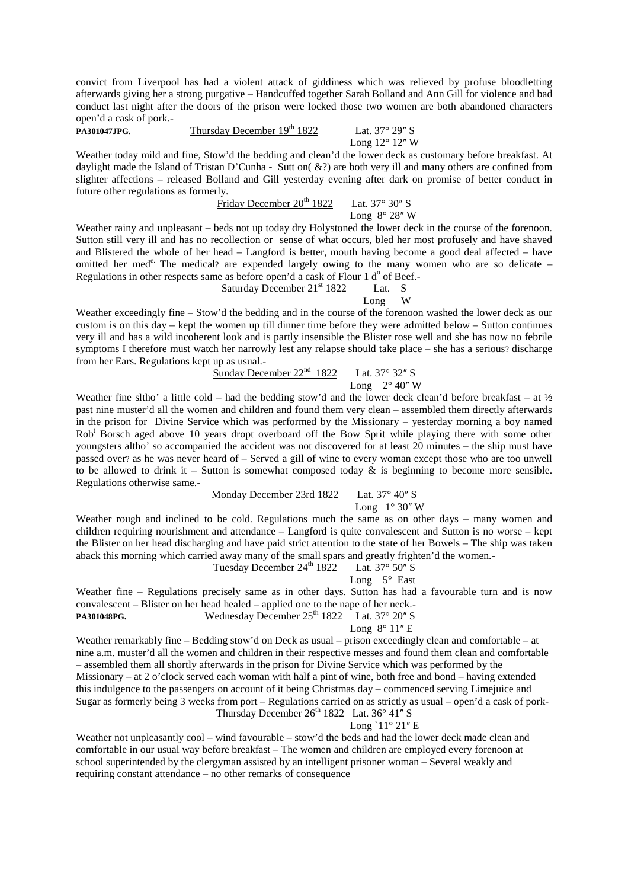convict from Liverpool has had a violent attack of giddiness which was relieved by profuse bloodletting afterwards giving her a strong purgative – Handcuffed together Sarah Bolland and Ann Gill for violence and bad conduct last night after the doors of the prison were locked those two women are both abandoned characters open'd a cask of pork.-

**PA301047JPG.** Thursday December 19<sup>th</sup> 1822 Lat. 37° 29" S

Long  $12^{\circ}$  12" W

Weather today mild and fine, Stow'd the bedding and clean'd the lower deck as customary before breakfast. At daylight made the Island of Tristan D'Cunha - Sutt on( &?) are both very ill and many others are confined from slighter affections – released Bolland and Gill yesterday evening after dark on promise of better conduct in future other regulations as formerly.

# Friday December  $20^{th}$  1822 Lat. 37° 30" S

Long  $8^\circ 28''$  W

Weather rainy and unpleasant – beds not up today dry Holystoned the lower deck in the course of the forenoon. Sutton still very ill and has no recollection or sense of what occurs, bled her most profusely and have shaved and Blistered the whole of her head – Langford is better, mouth having become a good deal affected – have omitted her med<sup>e.</sup> The medical? are expended largely owing to the many women who are so delicate – Regulations in other respects same as before open'd a cask of Flour 1 d<sup>o</sup> of Beef.-

Saturday December 21st 1822 Lat. S Long W

Weather exceedingly fine – Stow'd the bedding and in the course of the forenoon washed the lower deck as our custom is on this day – kept the women up till dinner time before they were admitted below – Sutton continues very ill and has a wild incoherent look and is partly insensible the Blister rose well and she has now no febrile symptoms I therefore must watch her narrowly lest any relapse should take place – she has a serious? discharge from her Ears. Regulations kept up as usual.-

Sunday December  $22<sup>nd</sup>$  1822 Lat. 37° 32" S

Long  $2^{\circ}$  40" W

Weather fine sltho' a little cold – had the bedding stow'd and the lower deck clean'd before breakfast – at  $\frac{1}{2}$ past nine muster'd all the women and children and found them very clean – assembled them directly afterwards in the prison for Divine Service which was performed by the Missionary – yesterday morning a boy named Rob<sup>t</sup> Borsch aged above 10 years dropt overboard off the Bow Sprit while playing there with some other youngsters altho' so accompanied the accident was not discovered for at least 20 minutes – the ship must have passed over? as he was never heard of – Served a gill of wine to every woman except those who are too unwell to be allowed to drink it – Sutton is somewhat composed today  $\&$  is beginning to become more sensible. Regulations otherwise same.-

## Monday December 23rd 1822 Lat.  $37^{\circ}$  40" S

Long  $1^\circ 30''$  W

Weather rough and inclined to be cold. Regulations much the same as on other days – many women and children requiring nourishment and attendance – Langford is quite convalescent and Sutton is no worse – kept the Blister on her head discharging and have paid strict attention to the state of her Bowels – The ship was taken aback this morning which carried away many of the small spars and greatly frighten'd the women.-<br>Tuesday December  $24^{\text{th}}$  1822 Lat.  $37^{\circ}$  50" S

## Tuesday December 24<sup>th</sup> 1822

Long  $5^\circ$  East

Weather fine – Regulations precisely same as in other days. Sutton has had a favourable turn and is now convalescent – Blister on her head healed – applied one to the nape of her neck.-

**PA301048PG.** Wednesday December 25<sup>th</sup> 1822 Lat. 37° 20" S

Long  $8^{\circ}$  11" E

Weather remarkably fine – Bedding stow'd on Deck as usual – prison exceedingly clean and comfortable – at nine a.m. muster'd all the women and children in their respective messes and found them clean and comfortable – assembled them all shortly afterwards in the prison for Divine Service which was performed by the Missionary – at 2 o'clock served each woman with half a pint of wine, both free and bond – having extended this indulgence to the passengers on account of it being Christmas day – commenced serving Limejuice and Sugar as formerly being 3 weeks from port – Regulations carried on as strictly as usual – open'd a cask of pork-Thursday December  $26^{th}$  1822 Lat. 36 $^{\circ}$  41" S

Long ` $11^\circ 21$ " E

Weather not unpleasantly cool – wind favourable – stow'd the beds and had the lower deck made clean and comfortable in our usual way before breakfast – The women and children are employed every forenoon at school superintended by the clergyman assisted by an intelligent prisoner woman – Several weakly and requiring constant attendance – no other remarks of consequence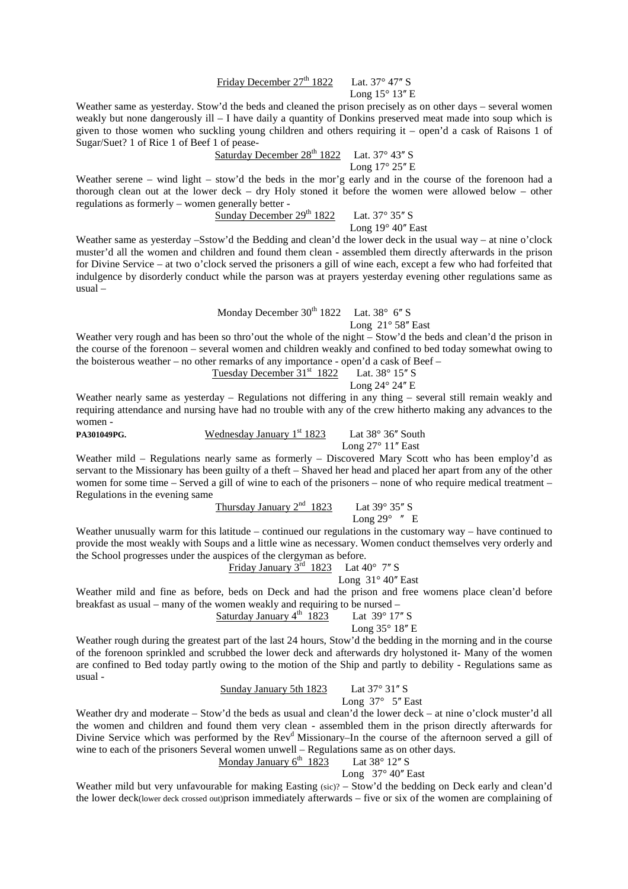## Friday December  $27<sup>th</sup> 1822$  Lat. 37° 47" S Long  $15^{\circ}$   $13''$  E

Weather same as yesterday. Stow'd the beds and cleaned the prison precisely as on other days – several women weakly but none dangerously ill – I have daily a quantity of Donkins preserved meat made into soup which is given to those women who suckling young children and others requiring it – open'd a cask of Raisons 1 of Sugar/Suet? 1 of Rice 1 of Beef 1 of pease-

Saturday December  $28<sup>th</sup> 1822$  Lat. 37° 43″ S

Long  $17^\circ 25''$  E Weather serene – wind light – stow'd the beds in the mor'g early and in the course of the forenoon had a thorough clean out at the lower deck – dry Holy stoned it before the women were allowed below – other regulations as formerly – women generally better -

Sunday December  $29^{th}$  1822 Lat. 37° 35" S Long  $19^{\circ}$  40" East

Weather same as yesterday –Sstow'd the Bedding and clean'd the lower deck in the usual way – at nine o'clock muster'd all the women and children and found them clean - assembled them directly afterwards in the prison for Divine Service – at two o'clock served the prisoners a gill of wine each, except a few who had forfeited that indulgence by disorderly conduct while the parson was at prayers yesterday evening other regulations same as usual –

Monday December  $30<sup>th</sup> 1822$  Lat.  $38<sup>°</sup> 6'' S$ 

### Long  $21^\circ 58''$  East

Weather very rough and has been so thro'out the whole of the night – Stow'd the beds and clean'd the prison in the course of the forenoon – several women and children weakly and confined to bed today somewhat owing to the boisterous weather – no other remarks of any importance - open'd a cask of Beef –

Tuesday December  $31<sup>st</sup> 1822$  Lat.  $38<sup>°</sup> 15'' S$ 

Long 24° 24" E

Weather nearly same as yesterday – Regulations not differing in any thing – several still remain weakly and requiring attendance and nursing have had no trouble with any of the crew hitherto making any advances to the women -

**PA301049PG.** Wednesday January 1<sup>st</sup> 1823 Lat 38° 36" South

Long  $27^\circ$  11" East

Weather mild – Regulations nearly same as formerly – Discovered Mary Scott who has been employ'd as servant to the Missionary has been guilty of a theft – Shaved her head and placed her apart from any of the other women for some time – Served a gill of wine to each of the prisoners – none of who require medical treatment – Regulations in the evening same

Thursday January  $2<sup>nd</sup>$  1823 Lat 39° 35" S

Long  $29^\circ$  " E

Weather unusually warm for this latitude – continued our regulations in the customary way – have continued to provide the most weakly with Soups and a little wine as necessary. Women conduct themselves very orderly and the School progresses under the auspices of the clergyman as before.<br>Friday January  $3^{\text{rd}}$  1823 Lat 40° 7" S

Friday January  $3<sup>rd</sup>$  1823

Long  $31^\circ 40''$  East

Weather mild and fine as before, beds on Deck and had the prison and free womens place clean'd before breakfast as usual – many of the women weakly and requiring to be nursed –

Saturday January  $4^{th}$  1823 Lat 39° 17" S

Long 35° 18" E

Weather rough during the greatest part of the last 24 hours, Stow'd the bedding in the morning and in the course of the forenoon sprinkled and scrubbed the lower deck and afterwards dry holystoned it- Many of the women are confined to Bed today partly owing to the motion of the Ship and partly to debility - Regulations same as usual -

Sunday January 5th  $1823$  Lat  $37^{\circ}$  31" S

Long  $37^\circ$  5" East

Weather dry and moderate – Stow'd the beds as usual and clean'd the lower deck – at nine o'clock muster'd all the women and children and found them very clean - assembled them in the prison directly afterwards for Divine Service which was performed by the  $\text{Rev}^d$  Missionary–In the course of the afternoon served a gill of wine to each of the prisoners Several women unwell – Regulations same as on other days.

Monday January  $6^{th}$  1823 Lat 38° 12" S

Long  $37^\circ 40''$  East

Weather mild but very unfavourable for making Easting (sic)? – Stow'd the bedding on Deck early and clean'd the lower deck(lower deck crossed out)prison immediately afterwards – five or six of the women are complaining of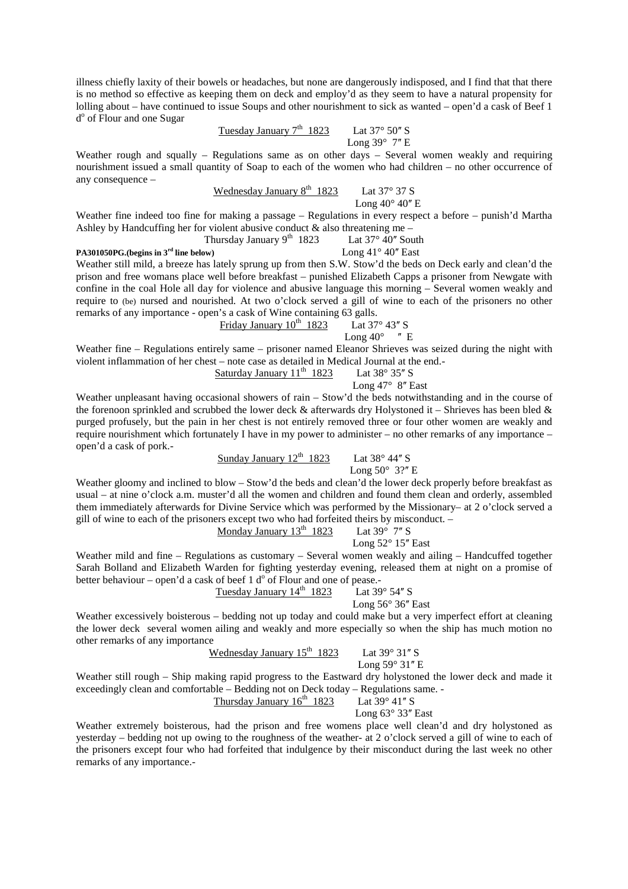illness chiefly laxity of their bowels or headaches, but none are dangerously indisposed, and I find that that there is no method so effective as keeping them on deck and employ'd as they seem to have a natural propensity for lolling about – have continued to issue Soups and other nourishment to sick as wanted – open'd a cask of Beef 1 d<sup>o</sup> of Flour and one Sugar

Tuesday January 7th 1823 Lat 37° 50ʺ S Long 39° 7ʺ E

Weather rough and squally – Regulations same as on other days – Several women weakly and requiring nourishment issued a small quantity of Soap to each of the women who had children – no other occurrence of any consequence –

|  | Wednesday January $8th$ 1823 | Lat $37^{\circ}$ 37 S                   |
|--|------------------------------|-----------------------------------------|
|  |                              | Long $40^{\circ}$ $40^{\prime\prime}$ E |

Weather fine indeed too fine for making a passage – Regulations in every respect a before – punish'd Martha Ashley by Handcuffing her for violent abusive conduct  $\&$  also threatening me –

Thursday January 9<sup>th</sup> 1823 Lat  $37^{\circ}$  40<sup>"</sup> South **PA301050PG.(begins in 3<sup>rd</sup> line below)** Long 41° 40" East

Weather still mild, a breeze has lately sprung up from then S.W. Stow'd the beds on Deck early and clean'd the prison and free womans place well before breakfast – punished Elizabeth Capps a prisoner from Newgate with confine in the coal Hole all day for violence and abusive language this morning – Several women weakly and require to (be) nursed and nourished. At two o'clock served a gill of wine to each of the prisoners no other remarks of any importance - open's a cask of Wine containing 63 galls.

$$
Friday January 10th 1823
$$
 *Lat* 37° 43" S

Long  $40^{\circ}$  " E

Weather fine – Regulations entirely same – prisoner named Eleanor Shrieves was seized during the night with violent inflammation of her chest – note case as detailed in Medical Journal at the end.-

Saturday January  $11<sup>th</sup> 1823$  Lat  $38° 35''$  S

Long  $47^\circ$  8" East

Weather unpleasant having occasional showers of rain – Stow'd the beds notwithstanding and in the course of the forenoon sprinkled and scrubbed the lower deck & afterwards dry Holystoned it – Shrieves has been bled & purged profusely, but the pain in her chest is not entirely removed three or four other women are weakly and require nourishment which fortunately I have in my power to administer – no other remarks of any importance – open'd a cask of pork.-

Sunday January  $12^{th}$  1823 Lat 38° 44" S

Long  $50^{\circ}$  3?" E

Weather gloomy and inclined to blow – Stow'd the beds and clean'd the lower deck properly before breakfast as usual – at nine o'clock a.m. muster'd all the women and children and found them clean and orderly, assembled them immediately afterwards for Divine Service which was performed by the Missionary– at 2 o'clock served a gill of wine to each of the prisoners except two who had forfeited theirs by misconduct. –

Monday January 13th 1823 Lat 39° 7ʺ S Long 52° 15ʺ East

Weather mild and fine – Regulations as customary – Several women weakly and ailing – Handcuffed together Sarah Bolland and Elizabeth Warden for fighting yesterday evening, released them at night on a promise of better behaviour – open'd a cask of beef 1  $d^{\circ}$  of Flour and one of pease.

Tuesday January  $14^{th}$  1823 Lat 39 $^{\circ}$  54" S

Long  $56^{\circ}$  36" East

Weather excessively boisterous – bedding not up today and could make but a very imperfect effort at cleaning the lower deck several women ailing and weakly and more especially so when the ship has much motion no other remarks of any importance

Wednesday January  $15^{th}$  1823 Lat  $39^{\circ}$  31" S

Long  $59^\circ$  31" E

Weather still rough – Ship making rapid progress to the Eastward dry holystoned the lower deck and made it exceedingly clean and comfortable – Bedding not on Deck today – Regulations same. -<br>Thursday January  $16<sup>th</sup>$  1823 Lat  $39^{\circ}$  41" S

Thursday January  $16<sup>th</sup>$  1823

Long  $63^\circ$  33" East

Weather extremely boisterous, had the prison and free womens place well clean'd and dry holystoned as yesterday – bedding not up owing to the roughness of the weather- at 2 o'clock served a gill of wine to each of the prisoners except four who had forfeited that indulgence by their misconduct during the last week no other remarks of any importance.-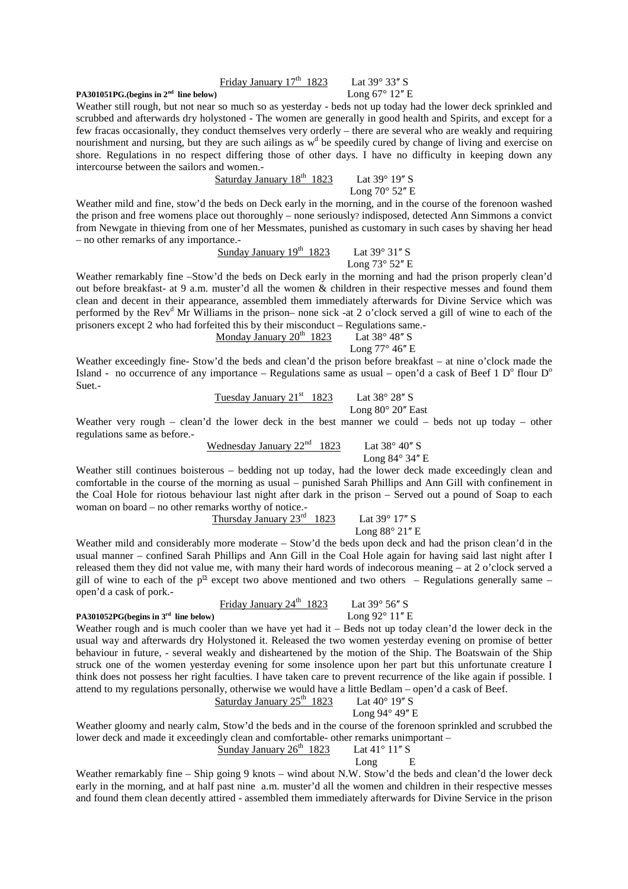## Friday January  $17<sup>th</sup> 1823$  Lat  $39° 33'' S$

**PA301051PG.**(begins in  $2^{nd}$  line below) Long  $67^{\circ}$  12<sup> $n$ </sup> E

Weather still rough, but not near so much so as yesterday - beds not up today had the lower deck sprinkled and scrubbed and afterwards dry holystoned - The women are generally in good health and Spirits, and except for a few fracas occasionally, they conduct themselves very orderly – there are several who are weakly and requiring nourishment and nursing, but they are such ailings as w<sup>d</sup> be speedily cured by change of living and exercise on shore. Regulations in no respect differing those of other days. I have no difficulty in keeping down any intercourse between the sailors and women.-

Saturday January  $18^{th}$  1823 Lat 39 $^{\circ}$  19" S Long  $70^{\circ}$  52" E

Weather mild and fine, stow'd the beds on Deck early in the morning, and in the course of the forenoon washed the prison and free womens place out thoroughly – none seriously? indisposed, detected Ann Simmons a convict from Newgate in thieving from one of her Messmates, punished as customary in such cases by shaving her head – no other remarks of any importance.-

Sunday January 19th 1823 Lat 39° 31ʺ S Long 73° 52ʺ E

Weather remarkably fine –Stow'd the beds on Deck early in the morning and had the prison properly clean'd out before breakfast- at 9 a.m. muster'd all the women & children in their respective messes and found them clean and decent in their appearance, assembled them immediately afterwards for Divine Service which was performed by the Rev<sup>d</sup> Mr Williams in the prison– none sick -at 2 o'clock served a gill of wine to each of the prisoners except 2 who had forfeited this by their misconduct – Regulations same.-

Long  $77^\circ$  46" E Weather exceedingly fine- Stow'd the beds and clean'd the prison before breakfast – at nine o'clock made the Island - no occurrence of any importance – Regulations same as usual – open'd a cask of Beef 1  $D^{\circ}$  flour  $D^{\circ}$ Suet.-

Monday January  $20^{th}$  1823 Lat 38° 48" S

| Tuesday January $21^{st}$ | $1823$ | Lat $38^{\circ}$ | $28''$ | S |
|---------------------------|--------|------------------|--------|---|
| Long $80^{\circ}$         | $20''$ | East             |        |   |

Weather very rough – clean'd the lower deck in the best manner we could – beds not up today – other regulations same as before.-

Wednesday January  $22^{\text{nd}}$  1823 Lat 38° 40" S

Long 84° 34″ E

Weather still continues boisterous – bedding not up today, had the lower deck made exceedingly clean and comfortable in the course of the morning as usual – punished Sarah Phillips and Ann Gill with confinement in the Coal Hole for riotous behaviour last night after dark in the prison – Served out a pound of Soap to each woman on board – no other remarks worthy of notice.-

Thursday January  $23^{\text{rd}}$  1823 Lat 39° 17" S

Long  $88^\circ 21''$  E

Weather mild and considerably more moderate – Stow'd the beds upon deck and had the prison clean'd in the usual manner – confined Sarah Phillips and Ann Gill in the Coal Hole again for having said last night after I released them they did not value me, with many their hard words of indecorous meaning – at 2 o'clock served a gill of wine to each of the  $p^{\text{fs}}$  except two above mentioned and two others – Regulations generally same – open'd a cask of pork.-

Friday January  $24^{th}$  1823 Lat 39 $^{\circ}$  56 $^{\prime\prime}$  S

Weather rough and is much cooler than we have yet had it – Beds not up today clean'd the lower deck in the usual way and afterwards dry Holystoned it. Released the two women yesterday evening on promise of better behaviour in future, - several weakly and disheartened by the motion of the Ship. The Boatswain of the Ship struck one of the women yesterday evening for some insolence upon her part but this unfortunate creature I think does not possess her right faculties. I have taken care to prevent recurrence of the like again if possible. I attend to my regulations personally, otherwise we would have a little Bedlam – open'd a cask of Beef.<br>Saturday January  $25^{\text{th}}$  1823 Lat  $40^{\circ}$  19" S Saturday January  $25<sup>th</sup>$  1823

Long 94° 49" E Weather gloomy and nearly calm, Stow'd the beds and in the course of the forenoon sprinkled and scrubbed the lower deck and made it exceedingly clean and comfortable- other remarks unimportant – Sunday January  $26^{th}$  1823 Lat 41° 11" S

Long E

Weather remarkably fine – Ship going 9 knots – wind about N.W. Stow'd the beds and clean'd the lower deck early in the morning, and at half past nine a.m. muster'd all the women and children in their respective messes and found them clean decently attired - assembled them immediately afterwards for Divine Service in the prison

**PA301052PG(begins in 3<sup>rd</sup> line below)** Long 92° 11" E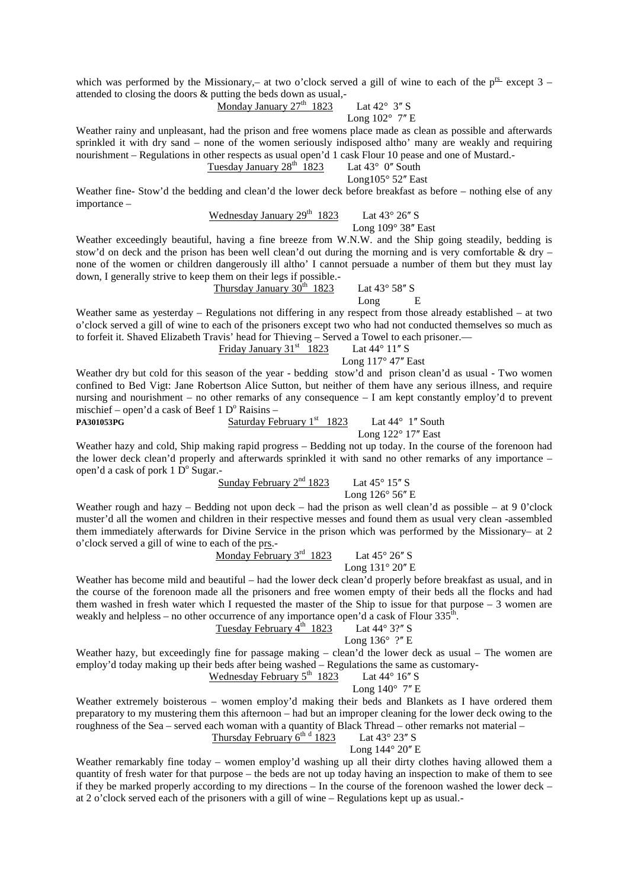which was performed by the Missionary,– at two o'clock served a gill of wine to each of the  $p^{rs}$  except 3 – attended to closing the doors & putting the beds down as usual,-

Monday January  $27<sup>th</sup>$  1823 Lat  $42<sup>°</sup>$  3" S

## Long  $102^{\circ}$  7" E

Weather rainy and unpleasant, had the prison and free womens place made as clean as possible and afterwards sprinkled it with dry sand – none of the women seriously indisposed altho' many are weakly and requiring nourishment – Regulations in other respects as usual open'd 1 cask Flour 10 pease and one of Mustard.- Tuesday January  $28<sup>th</sup>$  1823 Lat  $43<sup>°</sup>$  0" South

Long105 $^{\circ}$  52" East

Weather fine- Stow'd the bedding and clean'd the lower deck before breakfast as before – nothing else of any importance –

Wednesday January  $29^{th}$  1823 Lat  $43^{\circ}$  26" S

Long  $109^\circ$  38" East

Weather exceedingly beautiful, having a fine breeze from W.N.W. and the Ship going steadily, bedding is stow'd on deck and the prison has been well clean'd out during the morning and is very comfortable  $\&$  dry – none of the women or children dangerously ill altho' I cannot persuade a number of them but they must lay down, I generally strive to keep them on their legs if possible.-

Thursday January  $30^{th}$  1823 Lat  $43^{\circ}$  58" S Long E

Weather same as yesterday – Regulations not differing in any respect from those already established – at two o'clock served a gill of wine to each of the prisoners except two who had not conducted themselves so much as to forfeit it. Shaved Elizabeth Travis' head for Thieving – Served a Towel to each prisoner.— Friday January 31st  $1823$  Lat 44° 11" S

Long  $117^\circ 47$ " East

Weather dry but cold for this season of the year - bedding stow'd and prison clean'd as usual - Two women confined to Bed Vigt: Jane Robertson Alice Sutton, but neither of them have any serious illness, and require nursing and nourishment – no other remarks of any consequence – I am kept constantly employ'd to prevent mischief – open'd a cask of Beef  $1 \text{ D}^{\text{o}}$  Raisins –

**PA301053PG Saturday February 1st 1823** Lat 44° 1'' South

Long  $122^\circ 17$ " East

Weather hazy and cold, Ship making rapid progress – Bedding not up today. In the course of the forenoon had the lower deck clean'd properly and afterwards sprinkled it with sand no other remarks of any importance – open'd a cask of pork  $1\overline{D}^{\circ}$  Sugar.-

Sunday February  $2<sup>nd</sup>$  1823 Lat 45 $\degree$  15" S

Long 126° 56" E

Weather rough and hazy – Bedding not upon deck – had the prison as well clean'd as possible – at 9 0'clock muster'd all the women and children in their respective messes and found them as usual very clean -assembled them immediately afterwards for Divine Service in the prison which was performed by the Missionary– at 2 o'clock served a gill of wine to each of the prs.-

Monday February  $3^{\text{rd}}$  1823 Lat  $45^{\circ}$  26" S Long 131° 20" E

Weather has become mild and beautiful – had the lower deck clean'd properly before breakfast as usual, and in the course of the forenoon made all the prisoners and free women empty of their beds all the flocks and had them washed in fresh water which I requested the master of the Ship to issue for that purpose – 3 women are weakly and helpless – no other occurrence of any importance open'd a cask of Flour  $335^{\text{th}}$ .

Tuesday February  $4^{\text{th}}$  1823 Lat 44° 3?" S

Long  $136^\circ$  ?" E

Weather hazy, but exceedingly fine for passage making – clean'd the lower deck as usual – The women are employ'd today making up their beds after being washed – Regulations the same as customary-<br>Wednesday February  $5<sup>th</sup> 1823$  Lat 44° 16" S

Wednesday February  $5<sup>th</sup>$  1823

Long  $140^\circ$  7" E

Weather extremely boisterous – women employ'd making their beds and Blankets as I have ordered them preparatory to my mustering them this afternoon – had but an improper cleaning for the lower deck owing to the roughness of the Sea – served each woman with a quantity of Black Thread – other remarks not material – Thursday February  $6^{th}$ <sup>d</sup> 1823

## Lat  $43^\circ$  23" S

Long 144° 20" E

Weather remarkably fine today – women employ'd washing up all their dirty clothes having allowed them a quantity of fresh water for that purpose – the beds are not up today having an inspection to make of them to see if they be marked properly according to my directions – In the course of the forenoon washed the lower deck – at 2 o'clock served each of the prisoners with a gill of wine – Regulations kept up as usual.-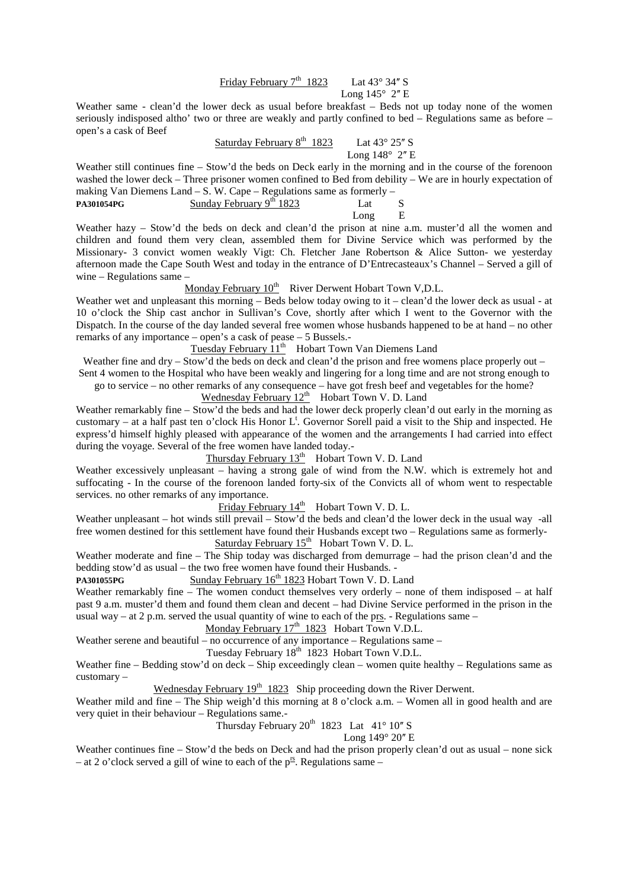## Friday February  $7<sup>th</sup> 1823$  Lat  $43° 34''$  S Long  $145^\circ$  2" E

Weather same - clean'd the lower deck as usual before breakfast – Beds not up today none of the women seriously indisposed altho' two or three are weakly and partly confined to bed – Regulations same as before – open's a cask of Beef

Saturday February  $8^{th}$  1823 Lat 43 $^{\circ}$  25" S

Long  $148^\circ$  2" E

Weather still continues fine – Stow'd the beds on Deck early in the morning and in the course of the forenoon washed the lower deck – Three prisoner women confined to Bed from debility – We are in hourly expectation of making Van Diemens Land – S. W. Cape – Regulations same as formerly – **PA301054PG** Sunday February 9<sup>th</sup> 1823 Lat S

Long E

Weather hazy – Stow'd the beds on deck and clean'd the prison at nine a.m. muster'd all the women and children and found them very clean, assembled them for Divine Service which was performed by the Missionary- 3 convict women weakly Vigt: Ch. Fletcher Jane Robertson & Alice Sutton- we yesterday afternoon made the Cape South West and today in the entrance of D'Entrecasteaux's Channel – Served a gill of wine – Regulations same –

Monday February  $10^{th}$  River Derwent Hobart Town V,D.L.

Weather wet and unpleasant this morning – Beds below today owing to it – clean'd the lower deck as usual - at 10 o'clock the Ship cast anchor in Sullivan's Cove, shortly after which I went to the Governor with the Dispatch. In the course of the day landed several free women whose husbands happened to be at hand – no other remarks of any importance – open's a cask of pease – 5 Bussels.-

Tuesday February  $11<sup>th</sup>$  Hobart Town Van Diemens Land

Weather fine and dry – Stow'd the beds on deck and clean'd the prison and free womens place properly out –

Sent 4 women to the Hospital who have been weakly and lingering for a long time and are not strong enough to go to service – no other remarks of any consequence – have got fresh beef and vegetables for the home?

Wednesday February  $12<sup>th</sup>$  Hobart Town V. D. Land

Weather remarkably fine – Stow'd the beds and had the lower deck properly clean'd out early in the morning as customary – at a half past ten o'clock His Honor  $L^t$ . Governor Sorell paid a visit to the Ship and inspected. He express'd himself highly pleased with appearance of the women and the arrangements I had carried into effect during the voyage. Several of the free women have landed today.-

Thursday February  $13<sup>th</sup>$  Hobart Town V. D. Land

Weather excessively unpleasant – having a strong gale of wind from the N.W. which is extremely hot and suffocating - In the course of the forenoon landed forty-six of the Convicts all of whom went to respectable services. no other remarks of any importance.

Friday February  $14<sup>th</sup>$  Hobart Town V. D. L.

Weather unpleasant – hot winds still prevail – Stow'd the beds and clean'd the lower deck in the usual way -all free women destined for this settlement have found their Husbands except two – Regulations same as formerly-Saturday February  $15^{th}$  Hobart Town V. D. L.

Weather moderate and fine – The Ship today was discharged from demurrage – had the prison clean'd and the bedding stow'd as usual – the two free women have found their Husbands. -

PA301055PG **Sunday February 16<sup>th</sup> 1823 Hobart Town V. D. Land** 

Weather remarkably fine – The women conduct themselves very orderly – none of them indisposed – at half past 9 a.m. muster'd them and found them clean and decent – had Divine Service performed in the prison in the usual way – at 2 p.m. served the usual quantity of wine to each of the prs. - Regulations same –

Monday February  $17<sup>th</sup>$  1823 Hobart Town V.D.L.

Weather serene and beautiful – no occurrence of any importance – Regulations same –

Tuesday February 18<sup>th</sup> 1823 Hobart Town V.D.L.

Weather fine – Bedding stow'd on deck – Ship exceedingly clean – women quite healthy – Regulations same as customary –

Wednesday February  $19<sup>th</sup> 1823$  Ship proceeding down the River Derwent.

Weather mild and fine – The Ship weigh'd this morning at 8 o'clock a.m. – Women all in good health and are very quiet in their behaviour – Regulations same.-

Thursday February  $20^{th}$  1823 Lat 41° 10" S

Long 149° 20" E

Weather continues fine – Stow'd the beds on Deck and had the prison properly clean'd out as usual – none sick – at 2 o'clock served a gill of wine to each of the  $p^{rs}$ . Regulations same –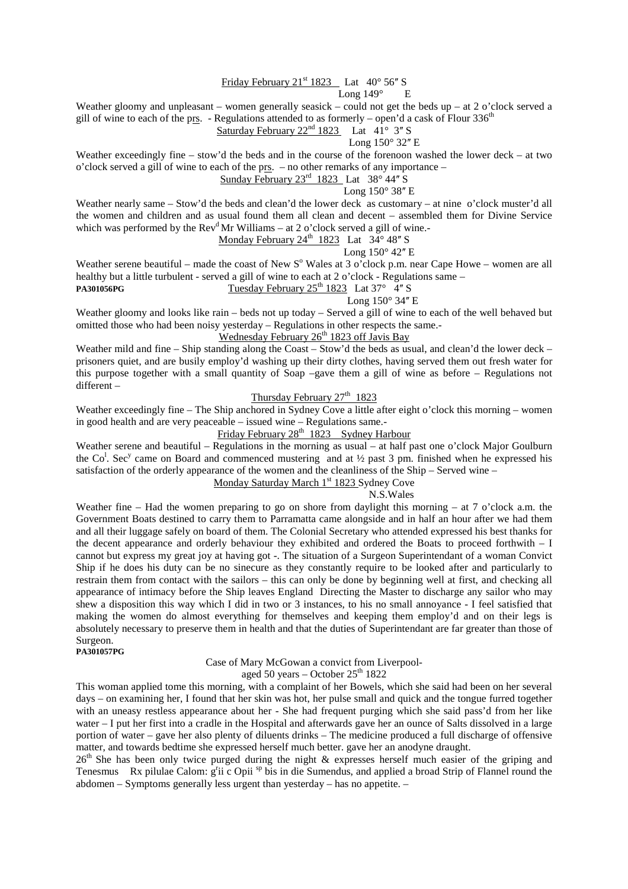## Friday February  $21<sup>st</sup> 1823$  Lat  $40<sup>°</sup> 56'' S$

### Long 149° E

Weather gloomy and unpleasant – women generally seasick – could not get the beds up – at 2 o'clock served a gill of wine to each of the prs. - Regulations attended to as formerly – open'd a cask of Flour 336<sup>th</sup>

Saturday February  $22<sup>nd</sup> 1823$  Lat  $41° 3''$  S

Long  $150^\circ$  32" E

Weather exceedingly fine – stow'd the beds and in the course of the forenoon washed the lower deck – at two o'clock served a gill of wine to each of the prs. – no other remarks of any importance –

Sunday February  $23^{\text{rd}}$  1823 Lat 38 $^{\circ}$ 44" S

## Long 150° 38" E

Weather nearly same – Stow'd the beds and clean'd the lower deck as customary – at nine o'clock muster'd all the women and children and as usual found them all clean and decent – assembled them for Divine Service which was performed by the  $Rev<sup>d</sup>Mr Williams - at 2 o'clock served a gill of wine.$ Monday February 24<sup>th</sup> 1823 Lat  $34^{\circ}$  48" S

Long  $150^\circ$  42" E

Weather serene beautiful – made the coast of New  $S<sup>o</sup>$  Wales at 3 o'clock p.m. near Cape Howe – women are all healthy but a little turbulent - served a gill of wine to each at 2 o'clock - Regulations same – **PA301056PG Tuesday February 25<sup>th</sup> 1823** Lat 37°  $\frac{4}{3}$  S

## Long  $150^\circ$  34" E

Weather gloomy and looks like rain – beds not up today – Served a gill of wine to each of the well behaved but omitted those who had been noisy yesterday – Regulations in other respects the same.-

## Wednesday February  $26<sup>th</sup>$  1823 off Javis Bay

Weather mild and fine – Ship standing along the Coast – Stow'd the beds as usual, and clean'd the lower deck – prisoners quiet, and are busily employ'd washing up their dirty clothes, having served them out fresh water for this purpose together with a small quantity of Soap –gave them a gill of wine as before – Regulations not different –

## Thursday February  $27<sup>th</sup>$  1823

Weather exceedingly fine – The Ship anchored in Sydney Cove a little after eight o'clock this morning – women in good health and are very peaceable – issued wine – Regulations same.-

## Friday February  $28^{th}$  1823 Sydney Harbour

Weather serene and beautiful – Regulations in the morning as usual – at half past one o'clock Major Goulburn the Co<sup>1</sup>. Sec<sup>y</sup> came on Board and commenced mustering and at  $\frac{1}{2}$  past 3 pm. finished when he expressed his satisfaction of the orderly appearance of the women and the cleanliness of the Ship – Served wine – Monday Saturday March 1<sup>st</sup> 1823 Sydney Cove

# N.S.Wales

Weather fine – Had the women preparing to go on shore from daylight this morning – at 7 o'clock a.m. the Government Boats destined to carry them to Parramatta came alongside and in half an hour after we had them and all their luggage safely on board of them. The Colonial Secretary who attended expressed his best thanks for the decent appearance and orderly behaviour they exhibited and ordered the Boats to proceed forthwith – I cannot but express my great joy at having got -. The situation of a Surgeon Superintendant of a woman Convict Ship if he does his duty can be no sinecure as they constantly require to be looked after and particularly to restrain them from contact with the sailors – this can only be done by beginning well at first, and checking all appearance of intimacy before the Ship leaves England Directing the Master to discharge any sailor who may shew a disposition this way which I did in two or 3 instances, to his no small annoyance - I feel satisfied that making the women do almost everything for themselves and keeping them employ'd and on their legs is absolutely necessary to preserve them in health and that the duties of Superintendant are far greater than those of Surgeon.

#### **PA301057PG**

### Case of Mary McGowan a convict from Liverpool-

aged 50 years – October  $25<sup>th</sup> 1822$ 

This woman applied tome this morning, with a complaint of her Bowels, which she said had been on her several days – on examining her, I found that her skin was hot, her pulse small and quick and the tongue furred together with an uneasy restless appearance about her - She had frequent purging which she said pass'd from her like water – I put her first into a cradle in the Hospital and afterwards gave her an ounce of Salts dissolved in a large portion of water – gave her also plenty of diluents drinks – The medicine produced a full discharge of offensive matter, and towards bedtime she expressed herself much better. gave her an anodyne draught.

 $26<sup>th</sup>$  She has been only twice purged during the night & expresses herself much easier of the griping and Tenesmus Rx pilulae Calom: g<sup>r</sup>ii c Opii <sup>sp</sup> bis in die Sumendus, and applied a broad Strip of Flannel round the abdomen – Symptoms generally less urgent than yesterday – has no appetite. –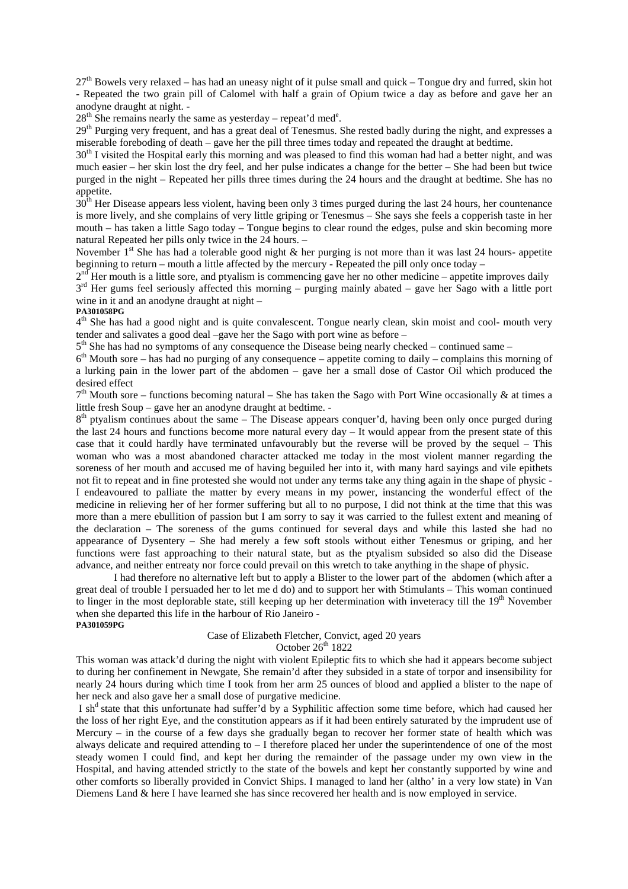$27<sup>th</sup>$  Bowels very relaxed – has had an uneasy night of it pulse small and quick – Tongue dry and furred, skin hot - Repeated the two grain pill of Calomel with half a grain of Opium twice a day as before and gave her an anodyne draught at night. -

 $28<sup>th</sup>$  She remains nearly the same as yesterday – repeat'd med<sup>e</sup>.

29<sup>th</sup> Purging very frequent, and has a great deal of Tenesmus. She rested badly during the night, and expresses a miserable foreboding of death – gave her the pill three times today and repeated the draught at bedtime.

30<sup>th</sup> I visited the Hospital early this morning and was pleased to find this woman had had a better night, and was much easier – her skin lost the dry feel, and her pulse indicates a change for the better – She had been but twice purged in the night – Repeated her pills three times during the 24 hours and the draught at bedtime. She has no appetite.

 $30<sup>th</sup>$  Her Disease appears less violent, having been only 3 times purged during the last 24 hours, her countenance is more lively, and she complains of very little griping or Tenesmus – She says she feels a copperish taste in her mouth – has taken a little Sago today – Tongue begins to clear round the edges, pulse and skin becoming more natural Repeated her pills only twice in the 24 hours. –

November 1<sup>st</sup> She has had a tolerable good night  $\&$  her purging is not more than it was last 24 hours- appetite beginning to return – mouth a little affected by the mercury - Repeated the pill only once today –

 $2<sup>nd</sup>$  Her mouth is a little sore, and ptyalism is commencing gave her no other medicine – appetite improves daily 3<sup>rd</sup> Her gums feel seriously affected this morning – purging mainly abated – gave her Sago with a little port wine in it and an anodyne draught at night –

#### **PA301058PG**

4<sup>th</sup> She has had a good night and is quite convalescent. Tongue nearly clean, skin moist and cool- mouth very tender and salivates a good deal –gave her the Sago with port wine as before –

 $5<sup>th</sup>$  She has had no symptoms of any consequence the Disease being nearly checked – continued same –

6<sup>th</sup> Mouth sore – has had no purging of any consequence – appetite coming to daily – complains this morning of a lurking pain in the lower part of the abdomen – gave her a small dose of Castor Oil which produced the desired effect

 $7<sup>th</sup>$  Mouth sore – functions becoming natural – She has taken the Sago with Port Wine occasionally & at times a little fresh Soup – gave her an anodyne draught at bedtime. -

 $8<sup>th</sup>$  ptyalism continues about the same – The Disease appears conquer'd, having been only once purged during the last 24 hours and functions become more natural every day – It would appear from the present state of this case that it could hardly have terminated unfavourably but the reverse will be proved by the sequel – This woman who was a most abandoned character attacked me today in the most violent manner regarding the soreness of her mouth and accused me of having beguiled her into it, with many hard sayings and vile epithets not fit to repeat and in fine protested she would not under any terms take any thing again in the shape of physic - I endeavoured to palliate the matter by every means in my power, instancing the wonderful effect of the medicine in relieving her of her former suffering but all to no purpose, I did not think at the time that this was more than a mere ebullition of passion but I am sorry to say it was carried to the fullest extent and meaning of the declaration – The soreness of the gums continued for several days and while this lasted she had no appearance of Dysentery – She had merely a few soft stools without either Tenesmus or griping, and her functions were fast approaching to their natural state, but as the ptyalism subsided so also did the Disease advance, and neither entreaty nor force could prevail on this wretch to take anything in the shape of physic.

 I had therefore no alternative left but to apply a Blister to the lower part of the abdomen (which after a great deal of trouble I persuaded her to let me d do) and to support her with Stimulants – This woman continued to linger in the most deplorable state, still keeping up her determination with inveteracy till the  $19<sup>th</sup>$  November when she departed this life in the harbour of Rio Janeiro - **PA301059PG** 

Case of Elizabeth Fletcher, Convict, aged 20 years

#### October  $26^{th}$  1822

This woman was attack'd during the night with violent Epileptic fits to which she had it appears become subject to during her confinement in Newgate, She remain'd after they subsided in a state of torpor and insensibility for nearly 24 hours during which time I took from her arm 25 ounces of blood and applied a blister to the nape of her neck and also gave her a small dose of purgative medicine.

I sh<sup>d</sup> state that this unfortunate had suffer'd by a Syphilitic affection some time before, which had caused her the loss of her right Eye, and the constitution appears as if it had been entirely saturated by the imprudent use of Mercury – in the course of a few days she gradually began to recover her former state of health which was always delicate and required attending to – I therefore placed her under the superintendence of one of the most steady women I could find, and kept her during the remainder of the passage under my own view in the Hospital, and having attended strictly to the state of the bowels and kept her constantly supported by wine and other comforts so liberally provided in Convict Ships. I managed to land her (altho' in a very low state) in Van Diemens Land & here I have learned she has since recovered her health and is now employed in service.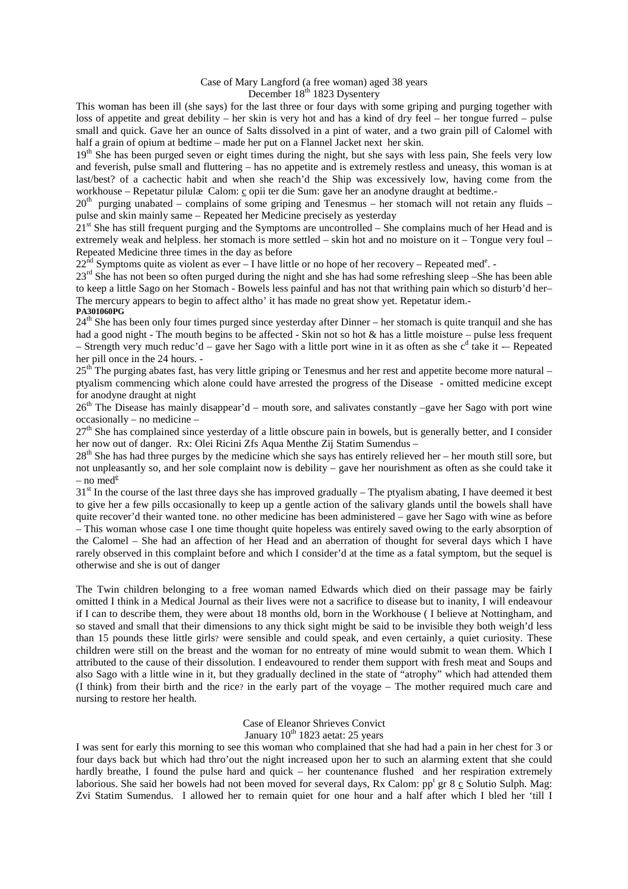#### Case of Mary Langford (a free woman) aged 38 years December 18<sup>th</sup> 1823 Dysentery

This woman has been ill (she says) for the last three or four days with some griping and purging together with loss of appetite and great debility – her skin is very hot and has a kind of dry feel – her tongue furred – pulse small and quick. Gave her an ounce of Salts dissolved in a pint of water, and a two grain pill of Calomel with half a grain of opium at bedtime – made her put on a Flannel Jacket next her skin.

19<sup>th</sup> She has been purged seven or eight times during the night, but she says with less pain, She feels very low and feverish, pulse small and fluttering – has no appetite and is extremely restless and uneasy, this woman is at last/best? of a cachectic habit and when she reach'd the Ship was excessively low, having come from the workhouse – Repetatur pilulæ Calom: c opii ter die Sum: gave her an anodyne draught at bedtime.-

20<sup>th</sup> purging unabated – complains of some griping and Tenesmus – her stomach will not retain any fluids – pulse and skin mainly same – Repeated her Medicine precisely as yesterday

 $21<sup>st</sup>$  She has still frequent purging and the Symptoms are uncontrolled – She complains much of her Head and is extremely weak and helpless. her stomach is more settled – skin hot and no moisture on it – Tongue very foul – Repeated Medicine three times in the day as before

 $22<sup>nd</sup>$  Symptoms quite as violent as ever – I have little or no hope of her recovery – Repeated med<sup>e</sup>. -

23<sup>rd</sup> She has not been so often purged during the night and she has had some refreshing sleep –She has been able to keep a little Sago on her Stomach - Bowels less painful and has not that writhing pain which so disturb'd her– The mercury appears to begin to affect altho' it has made no great show yet. Repetatur idem.- **PA301060PG** 

24<sup>th</sup> She has been only four times purged since yesterday after Dinner – her stomach is quite tranquil and she has had a good night - The mouth begins to be affected - Skin not so hot & has a little moisture – pulse less frequent – Strength very much reduc'd – gave her Sago with a little port wine in it as often as she  $c^d$  take it – Repeated her pill once in the 24 hours. -

 $25<sup>th</sup>$  The purging abates fast, has very little griping or Tenesmus and her rest and appetite become more natural – ptyalism commencing which alone could have arrested the progress of the Disease - omitted medicine except for anodyne draught at night

 $26<sup>th</sup>$  The Disease has mainly disappear'd – mouth sore, and salivates constantly –gave her Sago with port wine occasionally – no medicine –

27<sup>th</sup> She has complained since yesterday of a little obscure pain in bowels, but is generally better, and I consider her now out of danger. Rx: Olei Ricini Zfs Aqua Menthe Zij Statim Sumendus –

 $28<sup>th</sup>$  She has had three purges by the medicine which she says has entirely relieved her – her mouth still sore, but not unpleasantly so, and her sole complaint now is debility – gave her nourishment as often as she could take it – no med $e$ 

 $31<sup>st</sup>$  In the course of the last three days she has improved gradually – The ptyalism abating, I have deemed it best to give her a few pills occasionally to keep up a gentle action of the salivary glands until the bowels shall have quite recover'd their wanted tone. no other medicine has been administered – gave her Sago with wine as before – This woman whose case I one time thought quite hopeless was entirely saved owing to the early absorption of the Calomel – She had an affection of her Head and an aberration of thought for several days which I have rarely observed in this complaint before and which I consider'd at the time as a fatal symptom, but the sequel is otherwise and she is out of danger

The Twin children belonging to a free woman named Edwards which died on their passage may be fairly omitted I think in a Medical Journal as their lives were not a sacrifice to disease but to inanity, I will endeavour if I can to describe them, they were about 18 months old, born in the Workhouse ( I believe at Nottingham, and so staved and small that their dimensions to any thick sight might be said to be invisible they both weigh'd less than 15 pounds these little girls? were sensible and could speak, and even certainly, a quiet curiosity. These children were still on the breast and the woman for no entreaty of mine would submit to wean them. Which I attributed to the cause of their dissolution. I endeavoured to render them support with fresh meat and Soups and also Sago with a little wine in it, but they gradually declined in the state of "atrophy" which had attended them (I think) from their birth and the rice? in the early part of the voyage – The mother required much care and nursing to restore her health.

### Case of Eleanor Shrieves Convict January  $10^{th}$  1823 aetat: 25 years

I was sent for early this morning to see this woman who complained that she had had a pain in her chest for 3 or four days back but which had thro'out the night increased upon her to such an alarming extent that she could hardly breathe, I found the pulse hard and quick – her countenance flushed and her respiration extremely laborious. She said her bowels had not been moved for several days, Rx Calom: pp<sup>t</sup> gr 8 c Solutio Sulph. Mag: Zvi Statim Sumendus. I allowed her to remain quiet for one hour and a half after which I bled her 'till I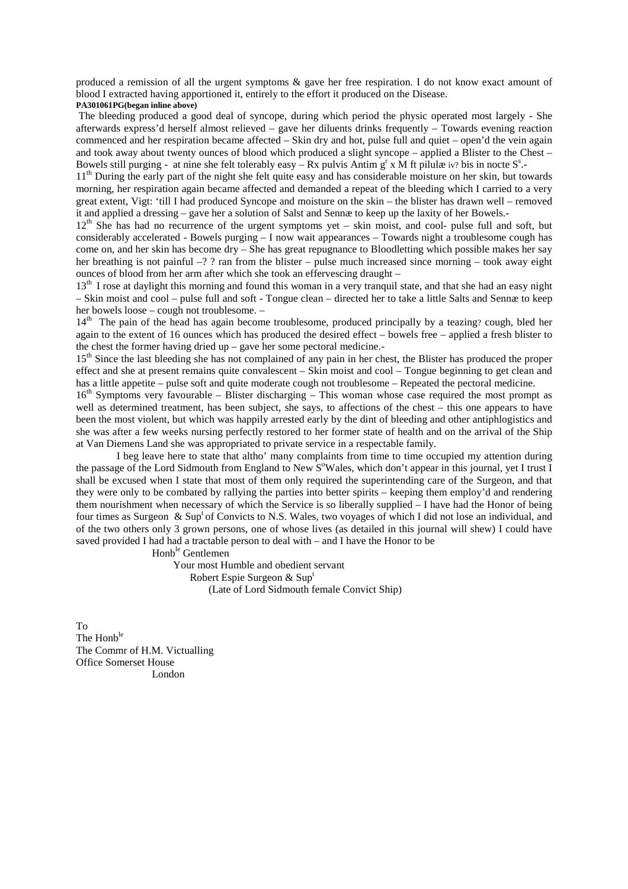produced a remission of all the urgent symptoms & gave her free respiration. I do not know exact amount of blood I extracted having apportioned it, entirely to the effort it produced on the Disease. **PA301061PG(began inline above)** 

 The bleeding produced a good deal of syncope, during which period the physic operated most largely - She afterwards express'd herself almost relieved – gave her diluents drinks frequently – Towards evening reaction commenced and her respiration became affected – Skin dry and hot, pulse full and quiet – open'd the vein again and took away about twenty ounces of blood which produced a slight syncope – applied a Blister to the Chest – Bowels still purging - at nine she felt tolerably easy – Rx pulvis Antim  $g^r$  x M ft pilulæ iv? bis in nocte  $S^s$ .

11<sup>th</sup> During the early part of the night she felt quite easy and has considerable moisture on her skin, but towards morning, her respiration again became affected and demanded a repeat of the bleeding which I carried to a very great extent, Vigt: 'till I had produced Syncope and moisture on the skin – the blister has drawn well – removed it and applied a dressing – gave her a solution of Salst and Sennæ to keep up the laxity of her Bowels.-

 $12<sup>th</sup>$  She has had no recurrence of the urgent symptoms yet – skin moist, and cool- pulse full and soft, but considerably accelerated - Bowels purging – I now wait appearances – Towards night a troublesome cough has come on, and her skin has become dry – She has great repugnance to Bloodletting which possible makes her say her breathing is not painful –? ? ran from the blister – pulse much increased since morning – took away eight ounces of blood from her arm after which she took an effervescing draught –

13<sup>th</sup> I rose at daylight this morning and found this woman in a very tranquil state, and that she had an easy night – Skin moist and cool – pulse full and soft - Tongue clean – directed her to take a little Salts and Sennæ to keep her bowels loose – cough not troublesome. –

14<sup>th</sup> The pain of the head has again become troublesome, produced principally by a teazing? cough, bled her again to the extent of 16 ounces which has produced the desired effect – bowels free – applied a fresh blister to the chest the former having dried up – gave her some pectoral medicine.-

15<sup>th</sup> Since the last bleeding she has not complained of any pain in her chest, the Blister has produced the proper effect and she at present remains quite convalescent – Skin moist and cool – Tongue beginning to get clean and has a little appetite – pulse soft and quite moderate cough not troublesome – Repeated the pectoral medicine.

16<sup>th</sup> Symptoms very favourable – Blister discharging – This woman whose case required the most prompt as well as determined treatment, has been subject, she says, to affections of the chest – this one appears to have been the most violent, but which was happily arrested early by the dint of bleeding and other antiphlogistics and she was after a few weeks nursing perfectly restored to her former state of health and on the arrival of the Ship at Van Diemens Land she was appropriated to private service in a respectable family.

 I beg leave here to state that altho' many complaints from time to time occupied my attention during the passage of the Lord Sidmouth from England to New S<sup>o</sup>Wales, which don't appear in this journal, yet I trust I shall be excused when I state that most of them only required the superintending care of the Surgeon, and that they were only to be combated by rallying the parties into better spirits – keeping them employ'd and rendering them nourishment when necessary of which the Service is so liberally supplied – I have had the Honor of being four times as Surgeon & Sup<sup>t</sup> of Convicts to N.S. Wales, two voyages of which I did not lose an individual, and of the two others only 3 grown persons, one of whose lives (as detailed in this journal will shew) I could have saved provided I had had a tractable person to deal with – and I have the Honor to be

Honb<sup>le</sup> Gentlemen

 Your most Humble and obedient servant Robert Espie Surgeon & Sup<sup>t</sup> (Late of Lord Sidmouth female Convict Ship)

To The Honb<sup>le</sup> The Commr of H.M. Victualling Office Somerset House London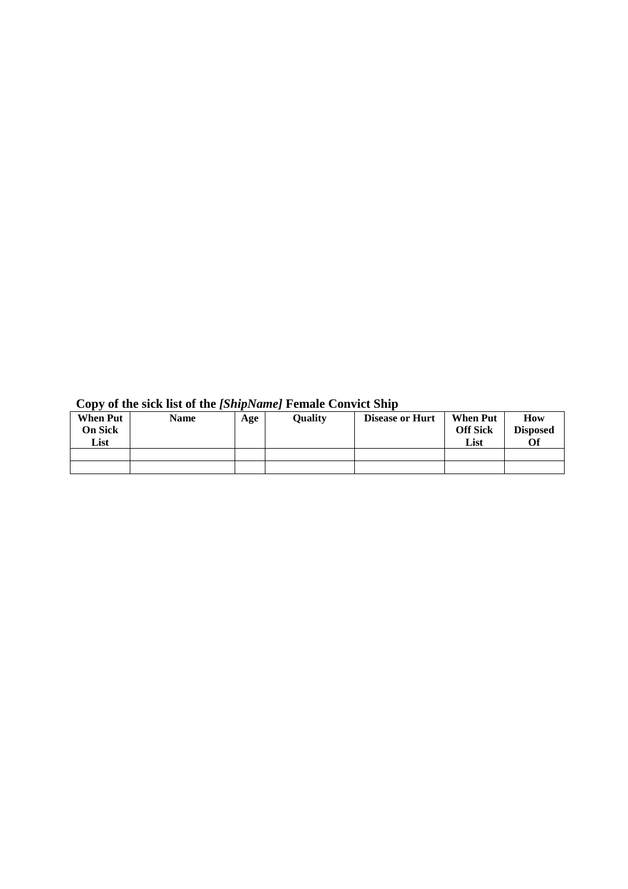| . .<br><b>When Put</b><br>On Sick<br>List | <b>Name</b> | Age | <b>Quality</b> | <b>Disease or Hurt</b> | <b>When Put</b><br><b>Off Sick</b><br>List | How<br><b>Disposed</b><br>Of |
|-------------------------------------------|-------------|-----|----------------|------------------------|--------------------------------------------|------------------------------|
|                                           |             |     |                |                        |                                            |                              |
|                                           |             |     |                |                        |                                            |                              |

# **Copy of the sick list of the** *[ShipName]* **Female Convict Ship**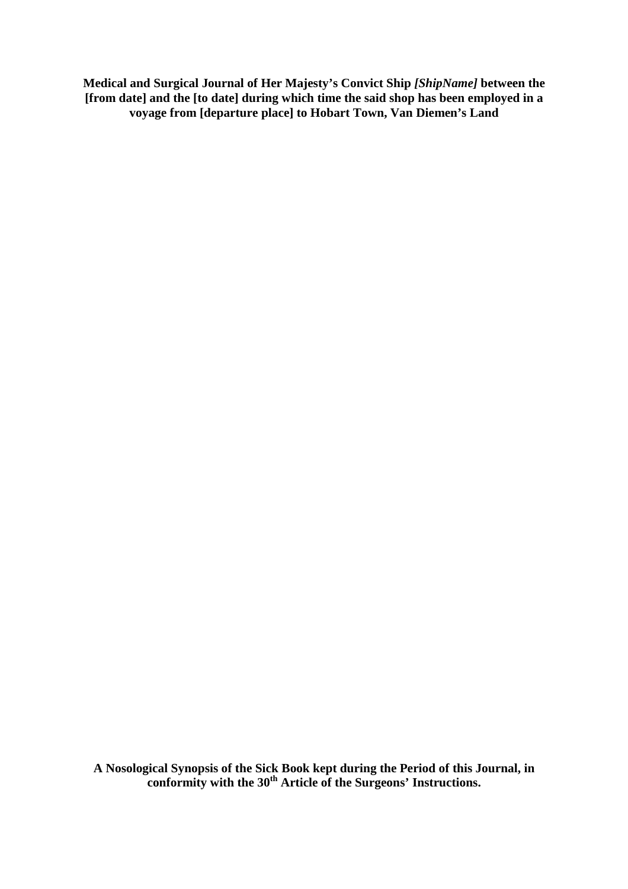**Medical and Surgical Journal of Her Majesty's Convict Ship** *[ShipName]* **between the [from date] and the [to date] during which time the said shop has been employed in a voyage from [departure place] to Hobart Town, Van Diemen's Land** 

**A Nosological Synopsis of the Sick Book kept during the Period of this Journal, in conformity with the 30th Article of the Surgeons' Instructions.**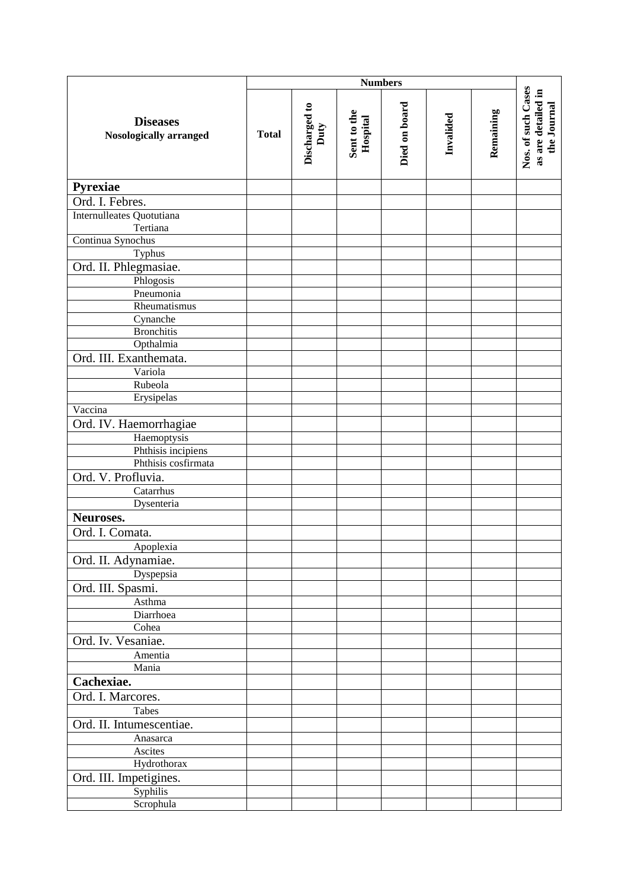|                                                  | <b>Numbers</b> |                       |                         |               |           |           |                                                         |
|--------------------------------------------------|----------------|-----------------------|-------------------------|---------------|-----------|-----------|---------------------------------------------------------|
| <b>Diseases</b><br><b>Nosologically arranged</b> | <b>Total</b>   | Discharged to<br>Duty | Sent to the<br>Hospital | Died on board | Invalided | Remaining | Nos. of such Cases<br>as are detailed in<br>the Journal |
| Pyrexiae                                         |                |                       |                         |               |           |           |                                                         |
| Ord. I. Febres.                                  |                |                       |                         |               |           |           |                                                         |
| Internulleates Quotutiana                        |                |                       |                         |               |           |           |                                                         |
| Tertiana                                         |                |                       |                         |               |           |           |                                                         |
| Continua Synochus                                |                |                       |                         |               |           |           |                                                         |
| Typhus                                           |                |                       |                         |               |           |           |                                                         |
| Ord. II. Phlegmasiae.                            |                |                       |                         |               |           |           |                                                         |
| Phlogosis                                        |                |                       |                         |               |           |           |                                                         |
| Pneumonia                                        |                |                       |                         |               |           |           |                                                         |
| Rheumatismus<br>Cynanche                         |                |                       |                         |               |           |           |                                                         |
| <b>Bronchitis</b>                                |                |                       |                         |               |           |           |                                                         |
| Opthalmia                                        |                |                       |                         |               |           |           |                                                         |
| Ord. III. Exanthemata.                           |                |                       |                         |               |           |           |                                                         |
| Variola                                          |                |                       |                         |               |           |           |                                                         |
| Rubeola                                          |                |                       |                         |               |           |           |                                                         |
| Erysipelas                                       |                |                       |                         |               |           |           |                                                         |
| Vaccina                                          |                |                       |                         |               |           |           |                                                         |
| Ord. IV. Haemorrhagiae                           |                |                       |                         |               |           |           |                                                         |
| Haemoptysis                                      |                |                       |                         |               |           |           |                                                         |
| Phthisis incipiens                               |                |                       |                         |               |           |           |                                                         |
| Phthisis cosfirmata                              |                |                       |                         |               |           |           |                                                         |
| Ord. V. Profluvia.                               |                |                       |                         |               |           |           |                                                         |
| Catarrhus                                        |                |                       |                         |               |           |           |                                                         |
| Dysenteria                                       |                |                       |                         |               |           |           |                                                         |
| Neuroses.                                        |                |                       |                         |               |           |           |                                                         |
| Ord. I. Comata.                                  |                |                       |                         |               |           |           |                                                         |
| Apoplexia                                        |                |                       |                         |               |           |           |                                                         |
| Ord. II. Adynamiae.                              |                |                       |                         |               |           |           |                                                         |
| Dyspepsia<br>Ord. III. Spasmi.                   |                |                       |                         |               |           |           |                                                         |
| Asthma                                           |                |                       |                         |               |           |           |                                                         |
| Diarrhoea                                        |                |                       |                         |               |           |           |                                                         |
| Cohea                                            |                |                       |                         |               |           |           |                                                         |
| Ord. Iv. Vesaniae.                               |                |                       |                         |               |           |           |                                                         |
| Amentia                                          |                |                       |                         |               |           |           |                                                         |
| Mania                                            |                |                       |                         |               |           |           |                                                         |
| Cachexiae.                                       |                |                       |                         |               |           |           |                                                         |
| Ord. I. Marcores.                                |                |                       |                         |               |           |           |                                                         |
| Tabes                                            |                |                       |                         |               |           |           |                                                         |
| Ord. II. Intumescentiae.                         |                |                       |                         |               |           |           |                                                         |
| Anasarca                                         |                |                       |                         |               |           |           |                                                         |
| Ascites                                          |                |                       |                         |               |           |           |                                                         |
| Hydrothorax                                      |                |                       |                         |               |           |           |                                                         |
| Ord. III. Impetigines.                           |                |                       |                         |               |           |           |                                                         |
| Syphilis                                         |                |                       |                         |               |           |           |                                                         |
| Scrophula                                        |                |                       |                         |               |           |           |                                                         |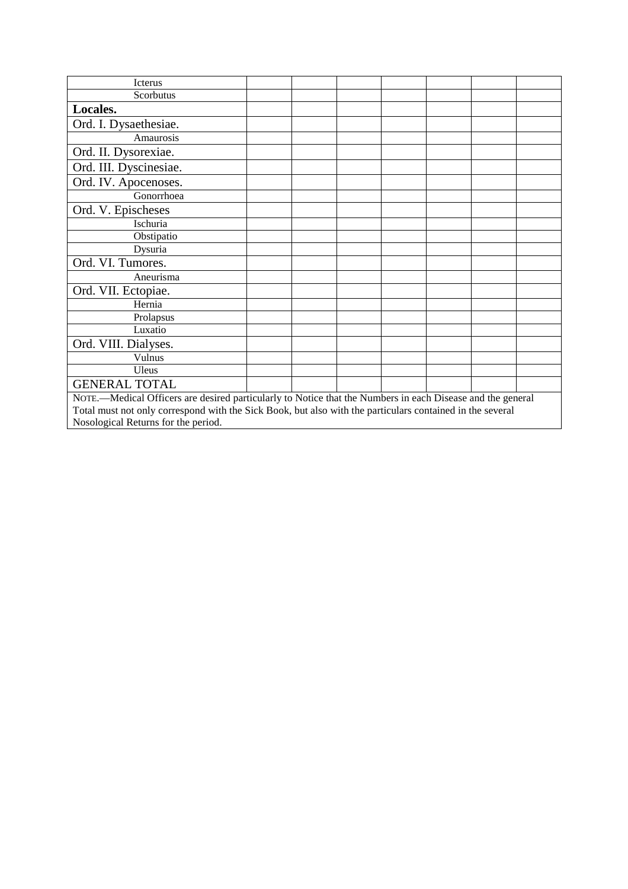| Icterus                                                                                                    |  |  |  |  |  |  |  |
|------------------------------------------------------------------------------------------------------------|--|--|--|--|--|--|--|
| Scorbutus                                                                                                  |  |  |  |  |  |  |  |
| Locales.                                                                                                   |  |  |  |  |  |  |  |
| Ord. I. Dysaethesiae.                                                                                      |  |  |  |  |  |  |  |
| Amaurosis                                                                                                  |  |  |  |  |  |  |  |
| Ord. II. Dysorexiae.                                                                                       |  |  |  |  |  |  |  |
| Ord. III. Dyscinesiae.                                                                                     |  |  |  |  |  |  |  |
| Ord. IV. Apocenoses.                                                                                       |  |  |  |  |  |  |  |
| Gonorrhoea                                                                                                 |  |  |  |  |  |  |  |
| Ord. V. Epischeses                                                                                         |  |  |  |  |  |  |  |
| Ischuria                                                                                                   |  |  |  |  |  |  |  |
| Obstipatio                                                                                                 |  |  |  |  |  |  |  |
| Dysuria                                                                                                    |  |  |  |  |  |  |  |
| Ord. VI. Tumores.                                                                                          |  |  |  |  |  |  |  |
| Aneurisma                                                                                                  |  |  |  |  |  |  |  |
| Ord. VII. Ectopiae.                                                                                        |  |  |  |  |  |  |  |
| Hernia                                                                                                     |  |  |  |  |  |  |  |
| Prolapsus                                                                                                  |  |  |  |  |  |  |  |
| Luxatio                                                                                                    |  |  |  |  |  |  |  |
| Ord. VIII. Dialyses.                                                                                       |  |  |  |  |  |  |  |
| Vulnus                                                                                                     |  |  |  |  |  |  |  |
| Uleus                                                                                                      |  |  |  |  |  |  |  |
| <b>GENERAL TOTAL</b>                                                                                       |  |  |  |  |  |  |  |
| NOTE.—Medical Officers are desired particularly to Notice that the Numbers in each Disease and the general |  |  |  |  |  |  |  |
| Total must not only correspond with the Sick Book, but also with the particulars contained in the several  |  |  |  |  |  |  |  |
| Nosological Returns for the period.                                                                        |  |  |  |  |  |  |  |